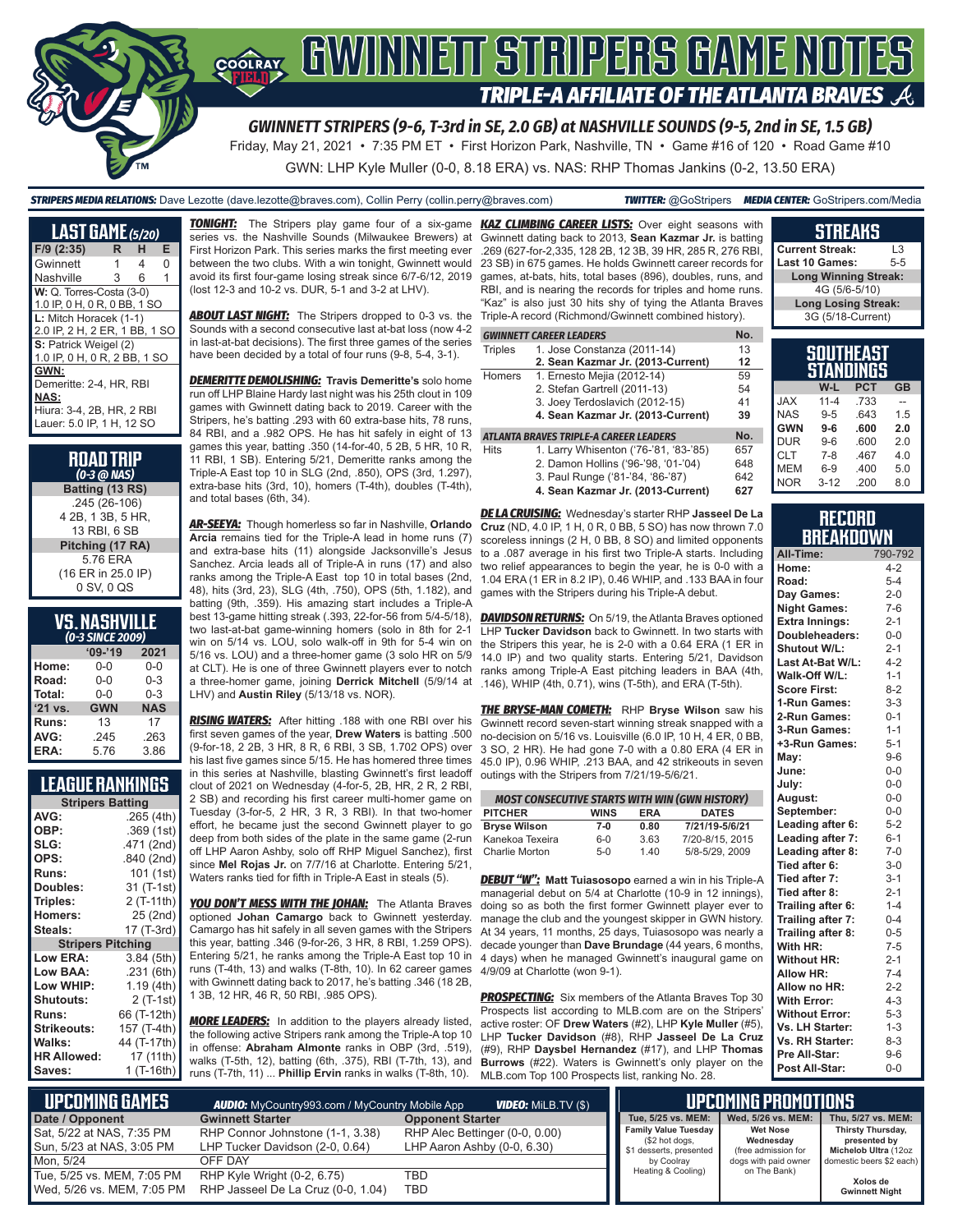

*GWINNETT STRIPERS (9-6, T-3rd in SE, 2.0 GB) at NASHVILLE SOUNDS (9-5, 2nd in SE, 1.5 GB)*

Friday, May 21, 2021 • 7:35 PM ET • First Horizon Park, Nashville, TN • Game #16 of 120 • Road Game #10

GWN: LHP Kyle Muller (0-0, 8.18 ERA) vs. NAS: RHP Thomas Jankins (0-2, 13.50 ERA)

*STRIPERS MEDIA RELATIONS:* Dave Lezotte (dave.lezotte@braves.com), Collin Perry (collin.perry@braves.com) *TWITTER:* @GoStripers *MEDIA CENTER:* GoStripers.com/Media

| <b>LAST GAME</b> (5/20)       |   |   |   |
|-------------------------------|---|---|---|
|                               |   |   |   |
| $F/9$ (2:35)                  | R | н | Е |
| Gwinnett                      | 1 | 4 | 0 |
| Nashville                     | 3 | 6 | 1 |
| W: Q. Torres-Costa (3-0)      |   |   |   |
| 1.0 IP, 0 H, 0 R, 0 BB, 1 SO  |   |   |   |
| L: Mitch Horacek (1-1)        |   |   |   |
| 2.0 IP, 2 H, 2 ER, 1 BB, 1 SO |   |   |   |
| S: Patrick Weigel (2)         |   |   |   |
| 1.0 IP, 0 H, 0 R, 2 BB, 1 SO  |   |   |   |
| GWN:                          |   |   |   |
| Demeritte: 2-4, HR, RBI       |   |   |   |
| NAS:                          |   |   |   |
| Hiura: 3-4, 2B, HR, 2 RBI     |   |   |   |
| Lauer: 5.0 IP, 1 H, 12 SO     |   |   |   |

| <b>ROAD TRIP</b><br>$(0-3$ ( $0$ NAS) |
|---------------------------------------|
| Batting (13 RS)                       |
| .245 (26-106)                         |
| 4 2B, 1 3B, 5 HR,                     |
| 13 RBI, 6 SB                          |
| Pitching (17 RA)                      |
| 576 FRA                               |
| (16 ER in 25.0 IP)                    |
| 0 SV, 0 QS                            |

| VS.NASHVILLE     |  |
|------------------|--|
| (0-3 SINCE 2009) |  |

|           | $09 - 19$  | 2021       |
|-----------|------------|------------|
| Home:     | 0-0        | $0 - 0$    |
| Road:     | $0 - 0$    | $0 - 3$    |
| Total:    | $0 - 0$    | $0 - 3$    |
|           |            |            |
| $'21$ vs. | <b>GWN</b> | <b>NAS</b> |
| Runs:     | 13         | 17         |
| AVG:      | .245       | .263       |

## **LEAGUE RANKINGS**

| AVG:<br>.265(4th)<br>OBP:<br>.369 (1st)<br>SLG:<br>.471 (2nd)<br>OPS:<br>.840 (2nd)<br>101 (1st)<br><b>Runs:</b><br>31 (T-1st)<br>Doubles:<br>Triples:<br>2 (T-11th)<br>25 (2nd)<br><b>Homers:</b><br>17 (T-3rd)<br>Steals:<br><b>Stripers Pitching</b><br><b>Low ERA:</b><br>3.84 (5th)<br>Low BAA:<br>.231(6th)<br>Low WHIP:<br>1.19 (4th)<br><b>Shutouts:</b><br>$2($ T-1st)<br>66 (T-12th)<br>Runs:<br>Strikeouts:<br>157 (T-4th)<br>Walks:<br>44 (T-17th)<br><b>HR Allowed:</b><br>17 (11th)<br>1 (T-16th)<br>Saves: | <b>Stripers Batting</b> |  |  |  |  |
|---------------------------------------------------------------------------------------------------------------------------------------------------------------------------------------------------------------------------------------------------------------------------------------------------------------------------------------------------------------------------------------------------------------------------------------------------------------------------------------------------------------------------|-------------------------|--|--|--|--|
|                                                                                                                                                                                                                                                                                                                                                                                                                                                                                                                           |                         |  |  |  |  |
|                                                                                                                                                                                                                                                                                                                                                                                                                                                                                                                           |                         |  |  |  |  |
|                                                                                                                                                                                                                                                                                                                                                                                                                                                                                                                           |                         |  |  |  |  |
|                                                                                                                                                                                                                                                                                                                                                                                                                                                                                                                           |                         |  |  |  |  |
|                                                                                                                                                                                                                                                                                                                                                                                                                                                                                                                           |                         |  |  |  |  |
|                                                                                                                                                                                                                                                                                                                                                                                                                                                                                                                           |                         |  |  |  |  |
|                                                                                                                                                                                                                                                                                                                                                                                                                                                                                                                           |                         |  |  |  |  |
|                                                                                                                                                                                                                                                                                                                                                                                                                                                                                                                           |                         |  |  |  |  |
|                                                                                                                                                                                                                                                                                                                                                                                                                                                                                                                           |                         |  |  |  |  |
|                                                                                                                                                                                                                                                                                                                                                                                                                                                                                                                           |                         |  |  |  |  |
|                                                                                                                                                                                                                                                                                                                                                                                                                                                                                                                           |                         |  |  |  |  |
|                                                                                                                                                                                                                                                                                                                                                                                                                                                                                                                           |                         |  |  |  |  |
|                                                                                                                                                                                                                                                                                                                                                                                                                                                                                                                           |                         |  |  |  |  |
|                                                                                                                                                                                                                                                                                                                                                                                                                                                                                                                           |                         |  |  |  |  |
|                                                                                                                                                                                                                                                                                                                                                                                                                                                                                                                           |                         |  |  |  |  |
|                                                                                                                                                                                                                                                                                                                                                                                                                                                                                                                           |                         |  |  |  |  |
|                                                                                                                                                                                                                                                                                                                                                                                                                                                                                                                           |                         |  |  |  |  |
|                                                                                                                                                                                                                                                                                                                                                                                                                                                                                                                           |                         |  |  |  |  |
|                                                                                                                                                                                                                                                                                                                                                                                                                                                                                                                           |                         |  |  |  |  |

**TONIGHT:** The Stripers play game four of a six-game series vs. the Nashville Sounds (Milwaukee Brewers) at First Horizon Park. This series marks the first meeting ever between the two clubs. With a win tonight, Gwinnett would avoid its first four-game losing streak since 6/7-6/12, 2019 (lost 12-3 and 10-2 vs. DUR, 5-1 and 3-2 at LHV).

**ABOUT LAST NIGHT:** The Stripers dropped to 0-3 vs. the Sounds with a second consecutive last at-bat loss (now 4-2 in last-at-bat decisions). The first three games of the series have been decided by a total of four runs (9-8, 5-4, 3-1).

*DEMERITTE DEMOLISHING:* **Travis Demeritte's** solo home run off LHP Blaine Hardy last night was his 25th clout in 109 games with Gwinnett dating back to 2019. Career with the Stripers, he's batting .293 with 60 extra-base hits, 78 runs, 84 RBI, and a .982 OPS. He has hit safely in eight of 13 games this year, batting .350 (14-for-40, 5 2B, 5 HR, 10 R, 11 RBI, 1 SB). Entering 5/21, Demeritte ranks among the Triple-A East top 10 in SLG (2nd, .850), OPS (3rd, 1.297), extra-base hits (3rd, 10), homers (T-4th), doubles (T-4th), and total bases (6th, 34).

*AR-SEEYA:* Though homerless so far in Nashville, **Orlando Arcia** remains tied for the Triple-A lead in home runs (7) and extra-base hits (11) alongside Jacksonville's Jesus Sanchez. Arcia leads all of Triple-A in runs (17) and also ranks among the Triple-A East top 10 in total bases (2nd, 48), hits (3rd, 23), SLG (4th, .750), OPS (5th, 1.182), and batting (9th, .359). His amazing start includes a Triple-A best 13-game hitting streak (.393, 22-for-56 from 5/4-5/18), two last-at-bat game-winning homers (solo in 8th for 2-1 win on 5/14 vs. LOU, solo walk-off in 9th for 5-4 win on 5/16 vs. LOU) and a three-homer game (3 solo HR on 5/9 at CLT). He is one of three Gwinnett players ever to notch a three-homer game, joining **Derrick Mitchell** (5/9/14 at LHV) and **Austin Riley** (5/13/18 vs. NOR).

*RISING WATERS:* After hitting .188 with one RBI over his first seven games of the year, **Drew Waters** is batting .500 (9-for-18, 2 2B, 3 HR, 8 R, 6 RBI, 3 SB, 1.702 OPS) over his last five games since 5/15. He has homered three times in this series at Nashville, blasting Gwinnett's first leadoff clout of 2021 on Wednesday (4-for-5, 2B, HR, 2 R, 2 RBI, 2 SB) and recording his first career multi-homer game on Tuesday (3-for-5, 2 HR, 3 R, 3 RBI). In that two-homer effort, he became just the second Gwinnett player to go deep from both sides of the plate in the same game (2-run off LHP Aaron Ashby, solo off RHP Miguel Sanchez), first since **Mel Rojas Jr.** on 7/7/16 at Charlotte. Entering 5/21, Waters ranks tied for fifth in Triple-A East in steals (5).

*YOU DON'T MESS WITH THE JOHAN:* The Atlanta Braves optioned **Johan Camargo** back to Gwinnett yesterday. Camargo has hit safely in all seven games with the Stripers this year, batting .346 (9-for-26, 3 HR, 8 RBI, 1.259 OPS). Entering 5/21, he ranks among the Triple-A East top 10 in runs (T-4th, 13) and walks (T-8th, 10). In 62 career games with Gwinnett dating back to 2017, he's batting .346 (18 2B, 1 3B, 12 HR, 46 R, 50 RBI, .985 OPS).

**MORE LEADERS:** In addition to the players already listed, the following active Stripers rank among the Triple-A top 10 in offense: **Abraham Almonte** ranks in OBP (3rd, .519), walks (T-5th, 12), batting (6th, .375), RBI (T-7th, 13), and runs (T-7th, 11) ... **Phillip Ervin** ranks in walks (T-8th, 10).

**KAZ CLIMBING CAREER LISTS:** Over eight seasons with Gwinnett dating back to 2013, **Sean Kazmar Jr.** is batting .269 (627-for-2,335, 128 2B, 12 3B, 39 HR, 285 R, 276 RBI, 23 SB) in 675 games. He holds Gwinnett career records for games, at-bats, hits, total bases (896), doubles, runs, and RBI, and is nearing the records for triples and home runs. "Kaz" is also just 30 hits shy of tying the Atlanta Braves Triple-A record (Richmond/Gwinnett combined history).

#### **GWINNETT CAREER LEADERS No.**

| Triples | 1. Jose Constanza (2011-14)            | 13 |
|---------|----------------------------------------|----|
|         | 2. Sean Kazmar Jr. (2013-Current)      | 12 |
| Homers  | 1. Ernesto Mejia (2012-14)             | 59 |
|         | 2. Stefan Gartrell (2011-13)           | 54 |
|         | 3. Joey Terdoslavich (2012-15)         | 41 |
|         | 4. Sean Kazmar Jr. (2013-Current)      | 39 |
|         | ATLANTA BRAVES TRIPLE-A CAREER LEADERS |    |

#### Hits 1. Larry Whisenton ('76-'81, '83-'85) 657

- 2. Damon Hollins ('96-'98, '01-'04) 648<br>3. Paul Runge ('81-'84, '86-'87) 642 3. Paul Runge ('81-'84, '86-'87)
- **4. Sean Kazmar Jr. (2013-Current) 627**

*DE LA CRUISING:* Wednesday's starter RHP **Jasseel De La Cruz** (ND, 4.0 IP, 1 H, 0 R, 0 BB, 5 SO) has now thrown 7.0 scoreless innings (2 H, 0 BB, 8 SO) and limited opponents to a .087 average in his first two Triple-A starts. Including two relief appearances to begin the year, he is 0-0 with a 1.04 ERA (1 ER in 8.2 IP), 0.46 WHIP, and .133 BAA in four games with the Stripers during his Triple-A debut.

**DAVIDSON RETURNS:** On 5/19, the Atlanta Braves optioned LHP **Tucker Davidson** back to Gwinnett. In two starts with the Stripers this year, he is 2-0 with a 0.64 ERA (1 ER in 14.0 IP) and two quality starts. Entering 5/21, Davidson ranks among Triple-A East pitching leaders in BAA (4th, .146), WHIP (4th, 0.71), wins (T-5th), and ERA (T-5th).

*THE BRYSE-MAN COMETH:* RHP **Bryse Wilson** saw his Gwinnett record seven-start winning streak snapped with a no-decision on 5/16 vs. Louisville (6.0 IP, 10 H, 4 ER, 0 BB, 3 SO, 2 HR). He had gone 7-0 with a 0.80 ERA (4 ER in 45.0 IP), 0.96 WHIP, .213 BAA, and 42 strikeouts in seven outings with the Stripers from 7/21/19-5/6/21.

| <b>MOST CONSECUTIVE STARTS WITH WIN (GWN HISTORY)</b>       |       |      |                 |  |  |  |  |
|-------------------------------------------------------------|-------|------|-----------------|--|--|--|--|
| <b>PITCHER</b><br><b>DATES</b><br><b>WINS</b><br><b>ERA</b> |       |      |                 |  |  |  |  |
| <b>Bryse Wilson</b>                                         | 7-0   | 0.80 | 7/21/19-5/6/21  |  |  |  |  |
| Kanekoa Texeira                                             | $6-0$ | 3.63 | 7/20-8/15, 2015 |  |  |  |  |
| Charlie Morton                                              | $5-0$ | 1.40 | 5/8-5/29, 2009  |  |  |  |  |

*DEBUT "W":* **Matt Tuiasosopo** earned a win in his Triple-A managerial debut on 5/4 at Charlotte (10-9 in 12 innings), doing so as both the first former Gwinnett player ever to manage the club and the youngest skipper in GWN history. At 34 years, 11 months, 25 days, Tuiasosopo was nearly a decade younger than **Dave Brundage** (44 years, 6 months, 4 days) when he managed Gwinnett's inaugural game on 4/9/09 at Charlotte (won 9-1).

**PROSPECTING:** Six members of the Atlanta Braves Top 30 Prospects list according to MLB.com are on the Stripers' active roster: OF **Drew Waters** (#2), LHP **Kyle Muller** (#5), LHP **Tucker Davidson** (#8), RHP **Jasseel De La Cruz** (#9), RHP **Daysbel Hernandez** (#17), and LHP **Thomas Burrows** (#22). Waters is Gwinnett's only player on the MLB.com Top 100 Prospects list, ranking No. 28.

#### **Current Streak:** L3 **Last 10 Games: Long Winning Streak:** 4G (5/6-5/10) **Long Losing Streak:** 3G (5/18-Current) **SOUTHEAST**

**STREAKS**

| STANDINGS  |          |            |           |  |  |  |
|------------|----------|------------|-----------|--|--|--|
|            | W-L      | <b>PCT</b> | <b>GB</b> |  |  |  |
| <b>JAX</b> | $11 - 4$ | .733       |           |  |  |  |
| <b>NAS</b> | $9 - 5$  | .643       | 1.5       |  |  |  |
| <b>GWN</b> | $9-6$    | .600       | 2.0       |  |  |  |
| <b>DUR</b> | $9 - 6$  | .600       | 20        |  |  |  |
| <b>CLT</b> | $7 - 8$  | .467       | 4.0       |  |  |  |
| <b>MEM</b> | $6-9$    | .400       | 5.0       |  |  |  |
| <b>NOR</b> | $3 - 12$ | .200       | 8.0       |  |  |  |

#### **RECORD BREAKDOWN**

| All-Time:             | 790-792 |
|-----------------------|---------|
| Home:                 | $4 - 2$ |
| Road:                 | $5 - 4$ |
| Day Games:            | $2 - 0$ |
| <b>Night Games:</b>   | $7-6$   |
| <b>Extra Innings:</b> | $2 - 1$ |
| Doubleheaders:        | $0-0$   |
| Shutout W/L:          | $2 - 1$ |
| Last At-Bat W/L:      | $4 - 2$ |
| Walk-Off W/L:         | $1 - 1$ |
| <b>Score First:</b>   | $8 - 2$ |
| 1-Run Games:          | $3 - 3$ |
| 2-Run Games:          | $0 - 1$ |
| 3-Run Games:          | $1 - 1$ |
| +3-Run Games:         | $5 - 1$ |
| May:                  | $9 - 6$ |
| June:                 | $0 - 0$ |
| July:                 | $0 - 0$ |
| August:               | $0 - 0$ |
| September:            | $0 - 0$ |
| Leading after 6:      | $5 - 2$ |
| Leading after 7:      | $6 - 1$ |
| Leading after 8:      | $7 - 0$ |
| Tied after 6:         | $3 - 0$ |
| Tied after 7:         | $3 - 1$ |
| Tied after 8:         | $2 - 1$ |
| Trailing after 6:     | $1 - 4$ |
| Trailing after 7:     | $0 - 4$ |
| Trailing after 8:     | $0 - 5$ |
| With HR:              | $7-5$   |
| <b>Without HR:</b>    | $2 - 1$ |
| Allow HR:             | $7 - 4$ |
| Allow no HR:          | $2 - 2$ |
| <b>With Error:</b>    | $4 - 3$ |
| <b>Without Error:</b> | $5 - 3$ |
| Vs. LH Starter:       | $1 - 3$ |
| Vs. RH Starter:       | $8 - 3$ |
| Pre All-Star:         | $9-6$   |
| Post All-Star:        | $0 - 0$ |

| <b>UPCOMING GAMES</b><br><b>AUDIO:</b> MyCountry993.com / MyCountry Mobile App<br><b>VIDEO:</b> MiLB.TV (\$) |                                                                     |                                                               |                                               | <b>UPCOMING PROMOTIONS</b>                  |                                                  |
|--------------------------------------------------------------------------------------------------------------|---------------------------------------------------------------------|---------------------------------------------------------------|-----------------------------------------------|---------------------------------------------|--------------------------------------------------|
| Date / Opponent                                                                                              | <b>Gwinnett Starter</b>                                             | <b>Opponent Starter</b>                                       | Tue, 5/25 vs. MEM:                            | Wed. 5/26 vs. MEM:                          | Thu, 5/27 vs. MEM:                               |
| Sat, 5/22 at NAS, 7:35 PM<br>Sun, 5/23 at NAS, 3:05 PM                                                       | RHP Connor Johnstone (1-1, 3.38)<br>LHP Tucker Davidson (2-0, 0.64) | RHP Alec Bettinger (0-0, 0.00)<br>LHP Aaron Ashby (0-0, 6.30) | <b>Family Value Tuesday</b><br>(\$2 hot dogs, | <b>Wet Nose</b><br>Wednesdav                | Thirsty Thursday,<br>presented by                |
| Mon. 5/24                                                                                                    | OFF DAY                                                             |                                                               | \$1 desserts, presented<br>by Coolray         | (free admission for<br>dogs with paid owner | Michelob Ultra (12oz<br>domestic beers \$2 each) |
| Tue, 5/25 vs. MEM, 7:05 PM<br>Wed. 5/26 vs. MEM. 7:05 PM                                                     | RHP Kyle Wright (0-2, 6.75)<br>RHP Jasseel De La Cruz (0-0, 1.04)   | TBD<br>TBD                                                    | Heating & Cooling)                            | on The Bank)                                | Xolos de<br><b>Gwinnett Night</b>                |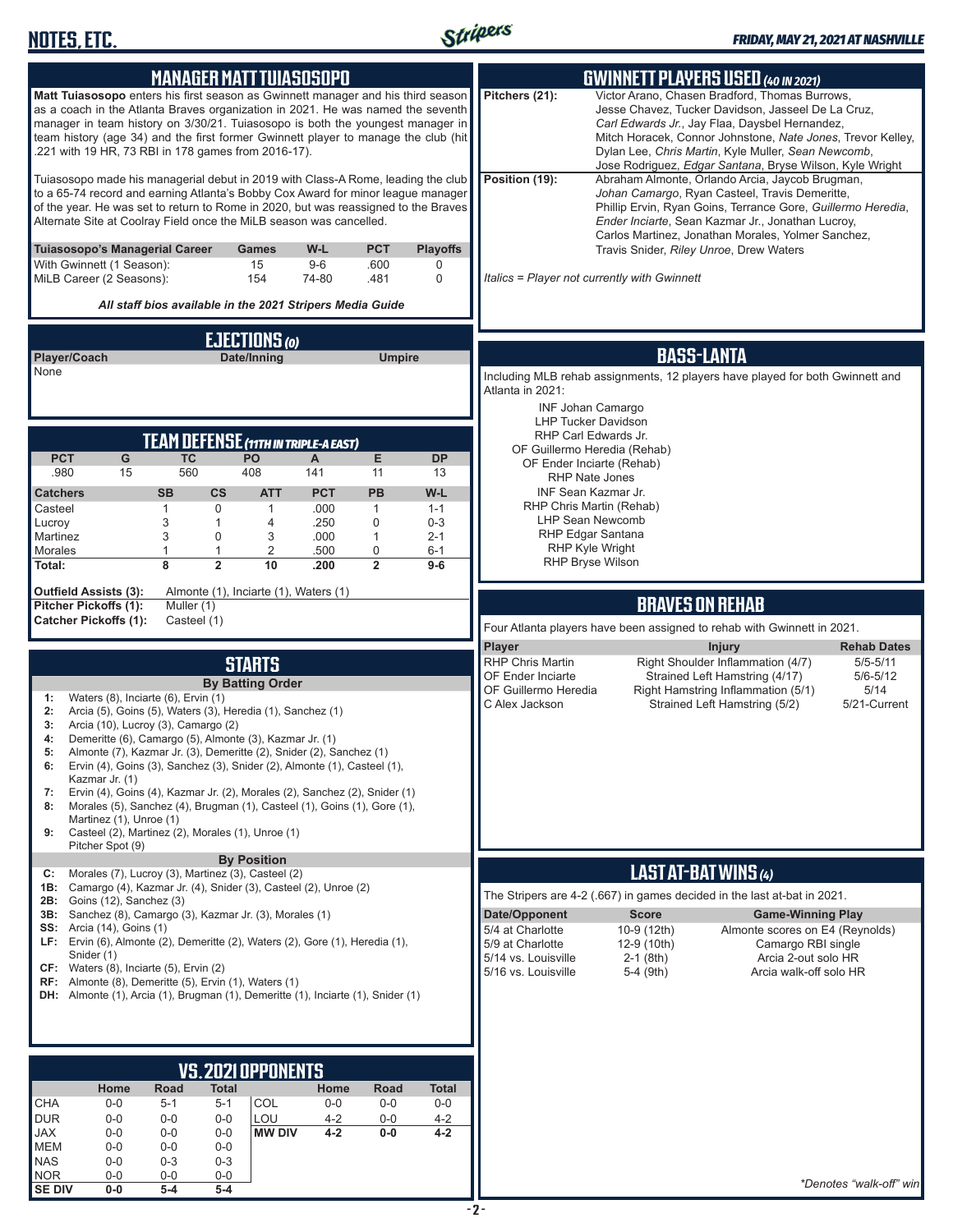

| <b>MANAGER MATT TUIASOSOPO</b>                                                                                                                                                                                                                                                                                                                                                                     | <b>GWINNETT PLAYERS USED (40 IN 2021)</b>                                                                                                                                                                                                                                                                                                                  |  |  |  |
|----------------------------------------------------------------------------------------------------------------------------------------------------------------------------------------------------------------------------------------------------------------------------------------------------------------------------------------------------------------------------------------------------|------------------------------------------------------------------------------------------------------------------------------------------------------------------------------------------------------------------------------------------------------------------------------------------------------------------------------------------------------------|--|--|--|
| Matt Tuiasosopo enters his first season as Gwinnett manager and his third season<br>as a coach in the Atlanta Braves organization in 2021. He was named the seventh<br>manager in team history on 3/30/21. Tuiasosopo is both the youngest manager in<br>team history (age 34) and the first former Gwinnett player to manage the club (hit<br>.221 with 19 HR, 73 RBI in 178 games from 2016-17). | Victor Arano, Chasen Bradford, Thomas Burrows,<br>Pitchers (21):<br>Jesse Chavez, Tucker Davidson, Jasseel De La Cruz,<br>Carl Edwards Jr., Jay Flaa, Daysbel Hernandez,<br>Mitch Horacek, Connor Johnstone, Nate Jones, Trevor Kelley,<br>Dylan Lee, Chris Martin, Kyle Muller, Sean Newcomb,<br>Jose Rodriguez, Edgar Santana, Bryse Wilson, Kyle Wright |  |  |  |
| Tuiasosopo made his managerial debut in 2019 with Class-A Rome, leading the club<br>to a 65-74 record and earning Atlanta's Bobby Cox Award for minor league manager<br>of the year. He was set to return to Rome in 2020, but was reassigned to the Braves<br>Alternate Site at Coolray Field once the MiLB season was cancelled.                                                                 | Position (19):<br>Abraham Almonte, Orlando Arcia, Jaycob Brugman,<br>Johan Camargo, Ryan Casteel, Travis Demeritte,<br>Phillip Ervin, Ryan Goins, Terrance Gore, Guillermo Heredia,<br>Ender Inciarte, Sean Kazmar Jr., Jonathan Lucroy,<br>Carlos Martinez, Jonathan Morales, Yolmer Sanchez,                                                             |  |  |  |
| Tuiasosopo's Managerial Career<br>W-L<br><b>PCT</b><br><b>Playoffs</b><br>Games<br>With Gwinnett (1 Season):<br>15<br>$9-6$<br>.600<br>0                                                                                                                                                                                                                                                           | Travis Snider, Riley Unroe, Drew Waters                                                                                                                                                                                                                                                                                                                    |  |  |  |
| MiLB Career (2 Seasons):<br>154<br>74-80<br>.481<br>$\mathbf 0$                                                                                                                                                                                                                                                                                                                                    | Italics = Player not currently with Gwinnett                                                                                                                                                                                                                                                                                                               |  |  |  |
| All staff bios available in the 2021 Stripers Media Guide                                                                                                                                                                                                                                                                                                                                          |                                                                                                                                                                                                                                                                                                                                                            |  |  |  |
| EJECTIONS (0)                                                                                                                                                                                                                                                                                                                                                                                      |                                                                                                                                                                                                                                                                                                                                                            |  |  |  |
| Player/Coach<br>Date/Inning<br><b>Umpire</b><br>None                                                                                                                                                                                                                                                                                                                                               | <b>BASS-LANTA</b><br>Including MLB rehab assignments, 12 players have played for both Gwinnett and                                                                                                                                                                                                                                                         |  |  |  |
|                                                                                                                                                                                                                                                                                                                                                                                                    | Atlanta in 2021:                                                                                                                                                                                                                                                                                                                                           |  |  |  |
|                                                                                                                                                                                                                                                                                                                                                                                                    | <b>INF Johan Camargo</b><br><b>LHP Tucker Davidson</b>                                                                                                                                                                                                                                                                                                     |  |  |  |
| <b>TEAM DEFENSE (11TH IN TRIPLE-A EAST)</b><br><b>PCT</b><br>G                                                                                                                                                                                                                                                                                                                                     | RHP Carl Edwards Jr.<br>OF Guillermo Heredia (Rehab)                                                                                                                                                                                                                                                                                                       |  |  |  |
| Е<br><b>TC</b><br><b>PO</b><br><b>DP</b><br>A<br>15<br>560<br>408<br>.980<br>141<br>11<br>13                                                                                                                                                                                                                                                                                                       | OF Ender Inciarte (Rehab)<br><b>RHP Nate Jones</b>                                                                                                                                                                                                                                                                                                         |  |  |  |
| <b>SB</b><br>$\mathsf{cs}$<br><b>PCT</b><br>PB<br>W-L<br><b>ATT</b><br><b>Catchers</b>                                                                                                                                                                                                                                                                                                             | INF Sean Kazmar Jr.<br>RHP Chris Martin (Rehab)                                                                                                                                                                                                                                                                                                            |  |  |  |
| Casteel<br>0<br>.000<br>1<br>1<br>1<br>$1 - 1$<br>3<br>.250<br>0<br>Lucroy<br>$\mathbf{1}$<br>4<br>$0 - 3$                                                                                                                                                                                                                                                                                         | <b>LHP Sean Newcomb</b>                                                                                                                                                                                                                                                                                                                                    |  |  |  |
| 3<br>$\mathbf 0$<br>3<br>$\mathbf{1}$<br>Martinez<br>.000<br>$2 - 1$<br>0<br>Morales<br>1<br>1<br>2<br>.500<br>$6 - 1$                                                                                                                                                                                                                                                                             | <b>RHP Edgar Santana</b><br><b>RHP Kyle Wright</b>                                                                                                                                                                                                                                                                                                         |  |  |  |
| 8<br>$\overline{2}$<br>$\overline{2}$<br>10<br>Total:<br>.200<br>$9-6$                                                                                                                                                                                                                                                                                                                             | <b>RHP Bryse Wilson</b>                                                                                                                                                                                                                                                                                                                                    |  |  |  |
| <b>Outfield Assists (3):</b><br>Almonte (1), Inciarte (1), Waters (1)<br>Pitcher Pickoffs (1):<br>Muller (1)                                                                                                                                                                                                                                                                                       | <b>BRAVES ON REHAB</b>                                                                                                                                                                                                                                                                                                                                     |  |  |  |
| <b>Catcher Pickoffs (1):</b><br>Casteel (1)                                                                                                                                                                                                                                                                                                                                                        | Four Atlanta players have been assigned to rehab with Gwinnett in 2021.                                                                                                                                                                                                                                                                                    |  |  |  |
|                                                                                                                                                                                                                                                                                                                                                                                                    | Player<br><b>Injury</b><br><b>Rehab Dates</b>                                                                                                                                                                                                                                                                                                              |  |  |  |
|                                                                                                                                                                                                                                                                                                                                                                                                    |                                                                                                                                                                                                                                                                                                                                                            |  |  |  |
| <b>STARTS</b>                                                                                                                                                                                                                                                                                                                                                                                      | Right Shoulder Inflammation (4/7)<br><b>RHP Chris Martin</b><br>$5/5 - 5/11$<br>OF Ender Inciarte<br>Strained Left Hamstring (4/17)<br>$5/6 - 5/12$                                                                                                                                                                                                        |  |  |  |
| <b>By Batting Order</b><br>Waters (8), Inciarte (6), Ervin (1)<br>1:                                                                                                                                                                                                                                                                                                                               | OF Guillermo Heredia<br>Right Hamstring Inflammation (5/1)<br>5/14                                                                                                                                                                                                                                                                                         |  |  |  |
| Arcia (5), Goins (5), Waters (3), Heredia (1), Sanchez (1)<br>2:<br>Arcia (10), Lucroy (3), Camargo (2)<br>3:                                                                                                                                                                                                                                                                                      | Strained Left Hamstring (5/2)<br>C Alex Jackson<br>5/21-Current                                                                                                                                                                                                                                                                                            |  |  |  |
| Demeritte (6), Camargo (5), Almonte (3), Kazmar Jr. (1)<br>4:                                                                                                                                                                                                                                                                                                                                      |                                                                                                                                                                                                                                                                                                                                                            |  |  |  |
| Almonte (7), Kazmar Jr. (3), Demeritte (2), Snider (2), Sanchez (1)<br>5:<br>Ervin $(4)$ , Goins $(3)$ , Sanchez $(3)$ , Snider $(2)$ , Almonte $(1)$ , Casteel $(1)$ ,                                                                                                                                                                                                                            |                                                                                                                                                                                                                                                                                                                                                            |  |  |  |
| Kazmar Jr. (1)<br>Ervin (4), Goins (4), Kazmar Jr. (2), Morales (2), Sanchez (2), Snider (1)<br>7:                                                                                                                                                                                                                                                                                                 |                                                                                                                                                                                                                                                                                                                                                            |  |  |  |
| Morales (5), Sanchez (4), Brugman (1), Casteel (1), Goins (1), Gore (1),<br>8:<br>Martinez (1), Unroe (1)                                                                                                                                                                                                                                                                                          |                                                                                                                                                                                                                                                                                                                                                            |  |  |  |
| Casteel (2), Martinez (2), Morales (1), Unroe (1)<br>9:<br>Pitcher Spot (9)                                                                                                                                                                                                                                                                                                                        |                                                                                                                                                                                                                                                                                                                                                            |  |  |  |
| <b>By Position</b><br>Morales (7), Lucroy (3), Martinez (3), Casteel (2)<br>C:                                                                                                                                                                                                                                                                                                                     | LAST AT-BAT WINS (4)                                                                                                                                                                                                                                                                                                                                       |  |  |  |
| 1B: Camargo (4), Kazmar Jr. (4), Snider (3), Casteel (2), Unroe (2)<br><b>2B:</b> Goins (12), Sanchez (3)                                                                                                                                                                                                                                                                                          | The Stripers are 4-2 (.667) in games decided in the last at-bat in 2021.                                                                                                                                                                                                                                                                                   |  |  |  |
| 3B: Sanchez (8), Camargo (3), Kazmar Jr. (3), Morales (1)                                                                                                                                                                                                                                                                                                                                          | Date/Opponent<br><b>Score</b><br><b>Game-Winning Play</b>                                                                                                                                                                                                                                                                                                  |  |  |  |
| <b>SS:</b> Arcia (14), Goins (1)<br>LF: Ervin (6), Almonte (2), Demeritte (2), Waters (2), Gore (1), Heredia (1),                                                                                                                                                                                                                                                                                  | 5/4 at Charlotte<br>10-9 (12th)<br>Almonte scores on E4 (Reynolds)<br>5/9 at Charlotte<br>12-9 (10th)<br>Camargo RBI single                                                                                                                                                                                                                                |  |  |  |
| Snider (1)<br>$CF:$ Waters (8), Inciarte (5), Ervin (2)                                                                                                                                                                                                                                                                                                                                            | 5/14 vs. Louisville<br>Arcia 2-out solo HR<br>$2-1$ (8th)<br>5/16 vs. Louisville<br>5-4 (9th)<br>Arcia walk-off solo HR                                                                                                                                                                                                                                    |  |  |  |
| RF: Almonte (8), Demeritte (5), Ervin (1), Waters (1)<br><b>DH:</b> Almonte (1), Arcia (1), Brugman (1), Demeritte (1), Inciarte (1), Snider (1)                                                                                                                                                                                                                                                   |                                                                                                                                                                                                                                                                                                                                                            |  |  |  |
|                                                                                                                                                                                                                                                                                                                                                                                                    |                                                                                                                                                                                                                                                                                                                                                            |  |  |  |
|                                                                                                                                                                                                                                                                                                                                                                                                    |                                                                                                                                                                                                                                                                                                                                                            |  |  |  |
| <u>VS. 2021 OPPONENTS</u>                                                                                                                                                                                                                                                                                                                                                                          |                                                                                                                                                                                                                                                                                                                                                            |  |  |  |
| Road<br>Home<br><b>Total</b><br>Home<br>Road<br><b>Total</b>                                                                                                                                                                                                                                                                                                                                       |                                                                                                                                                                                                                                                                                                                                                            |  |  |  |
| CHA<br>COL<br>$0-0$<br>$5 - 1$<br>$5 - 1$<br>$0-0$<br>$0-0$<br>$0-0$<br><b>DUR</b><br>$0-0$<br>$0-0$<br>LOU<br>$4 - 2$<br>4-2<br>$0-0$<br>$0-0$                                                                                                                                                                                                                                                    |                                                                                                                                                                                                                                                                                                                                                            |  |  |  |
| $0-0$<br>$0-0$<br><b>MW DIV</b><br>$4 - 2$<br>$0-0$<br>4-2<br>JAX<br>$0-0$<br><b>MEM</b><br>$0-0$<br>$0-0$<br>$0-0$                                                                                                                                                                                                                                                                                |                                                                                                                                                                                                                                                                                                                                                            |  |  |  |
| <b>NAS</b><br>$0-0$<br>$0 - 3$<br>$0 - 3$<br><b>NOR</b><br>$0-0$<br>$0-0$<br>$0-0$                                                                                                                                                                                                                                                                                                                 |                                                                                                                                                                                                                                                                                                                                                            |  |  |  |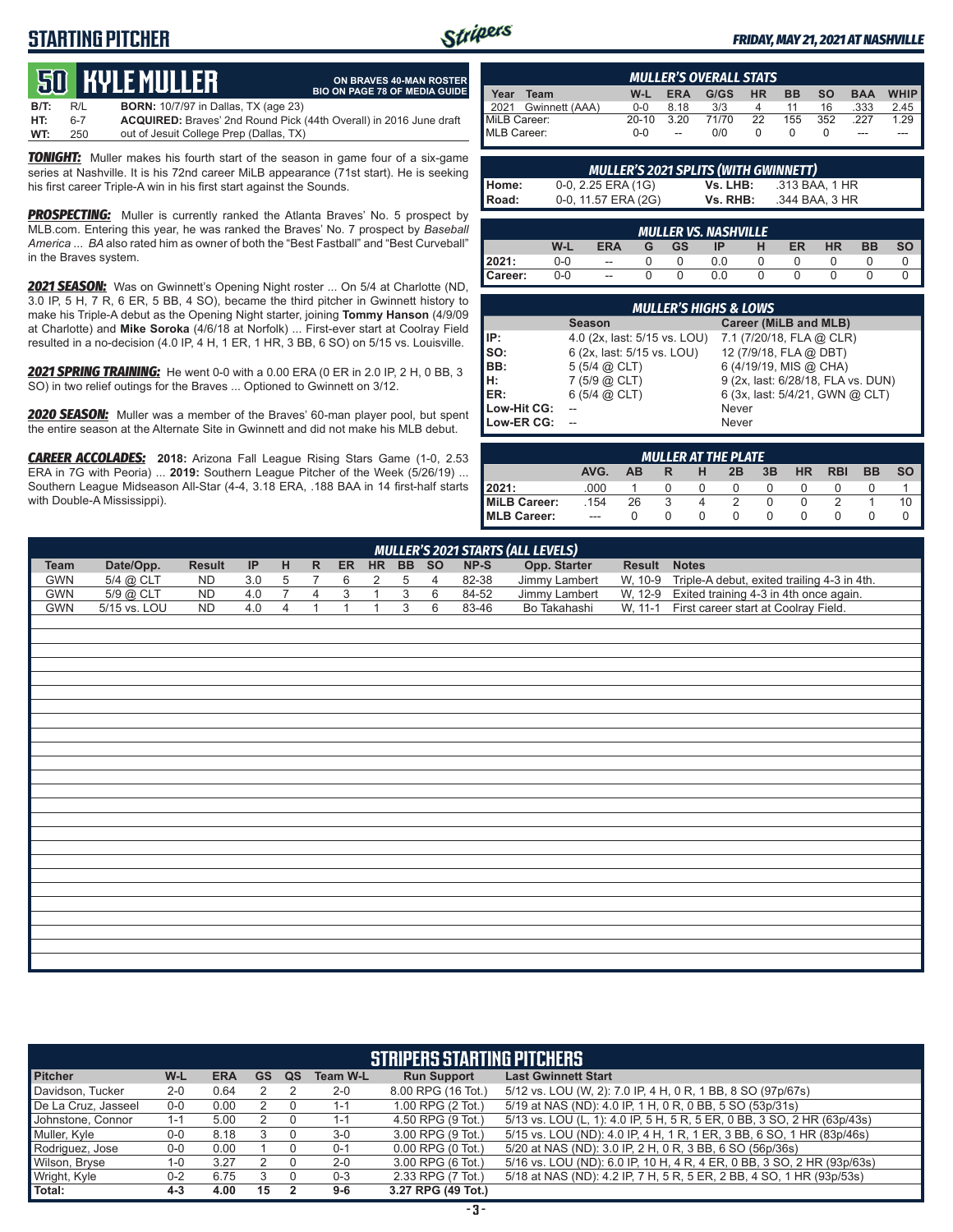## **STARTING PITCHER**



**ON BRAVES 40-MAN ROSTER BIO ON PAGE 78 OF MEDIA GUIDE**

#### *FRIDAY, MAY 21, 2021 AT NASHVILLE*

# **50****KYLE MULLER**

**B/T:** R/L **BORN:** 10/7/97 in Dallas, TX (age 23) **HT:** 6-7 **ACQUIRED:** Braves' 2nd Round Pick (44th Overall) in 2016 June draft out of Jesuit College Prep (Dallas, TX)

*TONIGHT:* Muller makes his fourth start of the season in game four of a six-game series at Nashville. It is his 72nd career MiLB appearance (71st start). He is seeking his first career Triple-A win in his first start against the Sounds.

**PROSPECTING:** Muller is currently ranked the Atlanta Braves' No. 5 prospect by MLB.com. Entering this year, he was ranked the Braves' No. 7 prospect by *Baseball America* ... *BA* also rated him as owner of both the "Best Fastball" and "Best Curveball" in the Braves system.

*2021 SEASON:* Was on Gwinnett's Opening Night roster ... On 5/4 at Charlotte (ND, 3.0 IP, 5 H, 7 R, 6 ER, 5 BB, 4 SO), became the third pitcher in Gwinnett history to make his Triple-A debut as the Opening Night starter, joining **Tommy Hanson** (4/9/09 at Charlotte) and **Mike Soroka** (4/6/18 at Norfolk) ... First-ever start at Coolray Field resulted in a no-decision (4.0 IP, 4 H, 1 ER, 1 HR, 3 BB, 6 SO) on 5/15 vs. Louisville.

*2021 SPRING TRAINING:* He went 0-0 with a 0.00 ERA (0 ER in 2.0 IP, 2 H, 0 BB, 3 SO) in two relief outings for the Braves ... Optioned to Gwinnett on 3/12.

*2020 SEASON:* Muller was a member of the Braves' 60-man player pool, but spent the entire season at the Alternate Site in Gwinnett and did not make his MLB debut.

*CAREER ACCOLADES:* **2018:** Arizona Fall League Rising Stars Game (1-0, 2.53 ERA in 7G with Peoria) ... **2019:** Southern League Pitcher of the Week (5/26/19) ... Southern League Midseason All-Star (4-4, 3.18 ERA, .188 BAA in 14 first-half starts with Double-A Mississippi).

| <b>MULLER'S OVERALL STATS</b> |         |      |           |          |           |           |            |             |
|-------------------------------|---------|------|-----------|----------|-----------|-----------|------------|-------------|
| Year<br>Team                  | W-L     | ERA  | $G/GS$ HR |          | <b>BB</b> | <b>SO</b> | <b>BAA</b> | <b>WHIP</b> |
| 2021 Gwinnett (AAA)           | $0 - 0$ | 8.18 | 3/3       | 4        | 11        | 16        | .333       | 2.45        |
| MiLB Career:                  | $20-10$ | 3.20 | 71/70     | 22       | 155       | 352       | 227        | 1.29        |
| MLB Career:                   | $0 - 0$ | $-$  | 0/0       | $\Omega$ |           |           |            |             |

| <b>MULLER'S 2021 SPLITS (WITH GWINNETT)</b> |                     |          |                |  |  |  |  |  |  |  |
|---------------------------------------------|---------------------|----------|----------------|--|--|--|--|--|--|--|
| Home:                                       | 0-0, 2.25 ERA (1G)  | Vs. LHB: | .313 BAA. 1 HR |  |  |  |  |  |  |  |
| Road:                                       | 0-0, 11.57 ERA (2G) | Vs. RHB: | .344 BAA, 3 HR |  |  |  |  |  |  |  |

| <b>MULLER VS. NASHVILLE</b>                                        |     |                          |  |  |  |  |  |  |  |  |  |  |
|--------------------------------------------------------------------|-----|--------------------------|--|--|--|--|--|--|--|--|--|--|
| W-L<br><b>GS</b><br>HR<br><b>FRA</b><br><b>BB</b><br>ER<br>ID<br>G |     |                          |  |  |  |  |  |  |  |  |  |  |
| 12021:                                                             | 0-0 | $\overline{\phantom{a}}$ |  |  |  |  |  |  |  |  |  |  |
| Career:                                                            | 0-0 | $\overline{\phantom{a}}$ |  |  |  |  |  |  |  |  |  |  |

| <b>MULLER'S HIGHS &amp; LOWS</b> |                              |                                    |  |  |  |  |  |  |  |  |
|----------------------------------|------------------------------|------------------------------------|--|--|--|--|--|--|--|--|
|                                  | <b>Season</b>                | Career (MiLB and MLB)              |  |  |  |  |  |  |  |  |
| IP:                              | 4.0 (2x, last: 5/15 vs. LOU) | 7.1 (7/20/18, FLA @ CLR)           |  |  |  |  |  |  |  |  |
| so:                              | 6 (2x, last: 5/15 vs. LOU)   | 12 (7/9/18, FLA @ DBT)             |  |  |  |  |  |  |  |  |
| BB:                              | $5(5/4)$ $\omega$ CLT)       | 6 (4/19/19, MIS @ CHA)             |  |  |  |  |  |  |  |  |
| IH:                              | $7(5/9)$ $(2)$ CLT)          | 9 (2x, last: 6/28/18, FLA vs. DUN) |  |  |  |  |  |  |  |  |
| IER:                             | $6(5/4)$ $(2)$ CLT)          | 6 (3x, last: 5/4/21, GWN @ CLT)    |  |  |  |  |  |  |  |  |
| Low-Hit CG:                      |                              | Never                              |  |  |  |  |  |  |  |  |
| Low-ER CG:                       |                              | Never                              |  |  |  |  |  |  |  |  |

| MULLER AT THE PLATE |         |    |   |        |                  |    |           |            |           |           |
|---------------------|---------|----|---|--------|------------------|----|-----------|------------|-----------|-----------|
|                     | AVG.    | AB | R | н      | 2B               | 3B | <b>HR</b> | <b>RBI</b> | <b>BB</b> | <b>SO</b> |
| 12021:              | .000    |    |   |        | $\left( \right)$ |    |           |            |           |           |
| MiLB Career:        | .154    | 26 |   | 4      |                  |    |           |            |           | 10        |
| MLB Career:         | $- - -$ |    |   | $\cup$ | 0                |    |           |            |           |           |

| <b>MULLER'S 2021 STARTS (ALL LEVELS)</b> |              |               |     |                |                |                |                |                |                |        |               |           |                                             |
|------------------------------------------|--------------|---------------|-----|----------------|----------------|----------------|----------------|----------------|----------------|--------|---------------|-----------|---------------------------------------------|
| <b>Team</b>                              | Date/Opp.    | <b>Result</b> | IP  | H              | $\mathsf{R}$   | <b>ER</b>      | <b>HR</b>      |                | BB SO          | $NP-S$ | Opp. Starter  | Result    | <b>Notes</b>                                |
| GWN                                      | 5/4 @ CLT    | <b>ND</b>     | 3.0 | 5              | $\overline{7}$ | 6              | 2              | 5              | $\overline{4}$ | 82-38  | Jimmy Lambert | W, 10-9   | Triple-A debut, exited trailing 4-3 in 4th. |
| <b>GWN</b>                               | 5/9 @ CLT    | ND            | 4.0 | $\overline{7}$ | $\overline{4}$ | $\overline{3}$ | $\mathbf{1}$   | $\overline{3}$ | 6              | 84-52  | Jimmy Lambert | W, 12-9   | Exited training 4-3 in 4th once again.      |
| <b>GWN</b>                               | 5/15 vs. LOU | ND            | 4.0 | $\overline{4}$ | $\overline{1}$ | $\overline{A}$ | $\overline{A}$ | $\overline{3}$ | 6              | 83-46  | Bo Takahashi  | $W, 11-1$ | First career start at Coolray Field.        |
|                                          |              |               |     |                |                |                |                |                |                |        |               |           |                                             |
|                                          |              |               |     |                |                |                |                |                |                |        |               |           |                                             |
|                                          |              |               |     |                |                |                |                |                |                |        |               |           |                                             |
|                                          |              |               |     |                |                |                |                |                |                |        |               |           |                                             |
|                                          |              |               |     |                |                |                |                |                |                |        |               |           |                                             |
|                                          |              |               |     |                |                |                |                |                |                |        |               |           |                                             |
|                                          |              |               |     |                |                |                |                |                |                |        |               |           |                                             |
|                                          |              |               |     |                |                |                |                |                |                |        |               |           |                                             |
|                                          |              |               |     |                |                |                |                |                |                |        |               |           |                                             |
|                                          |              |               |     |                |                |                |                |                |                |        |               |           |                                             |
|                                          |              |               |     |                |                |                |                |                |                |        |               |           |                                             |
|                                          |              |               |     |                |                |                |                |                |                |        |               |           |                                             |
|                                          |              |               |     |                |                |                |                |                |                |        |               |           |                                             |
|                                          |              |               |     |                |                |                |                |                |                |        |               |           |                                             |
|                                          |              |               |     |                |                |                |                |                |                |        |               |           |                                             |
|                                          |              |               |     |                |                |                |                |                |                |        |               |           |                                             |
|                                          |              |               |     |                |                |                |                |                |                |        |               |           |                                             |
|                                          |              |               |     |                |                |                |                |                |                |        |               |           |                                             |
|                                          |              |               |     |                |                |                |                |                |                |        |               |           |                                             |
|                                          |              |               |     |                |                |                |                |                |                |        |               |           |                                             |
|                                          |              |               |     |                |                |                |                |                |                |        |               |           |                                             |
|                                          |              |               |     |                |                |                |                |                |                |        |               |           |                                             |
|                                          |              |               |     |                |                |                |                |                |                |        |               |           |                                             |
|                                          |              |               |     |                |                |                |                |                |                |        |               |           |                                             |
|                                          |              |               |     |                |                |                |                |                |                |        |               |           |                                             |

| <b>STRIPERS STARTING PITCHERS</b> |         |            |    |    |                 |                       |                                                                         |  |  |  |  |
|-----------------------------------|---------|------------|----|----|-----------------|-----------------------|-------------------------------------------------------------------------|--|--|--|--|
| <b>Pitcher</b>                    | W-L     | <b>ERA</b> | GS | QS | <b>Team W-L</b> | <b>Run Support</b>    | <b>Last Gwinnett Start</b>                                              |  |  |  |  |
| Davidson, Tucker                  | $2 - 0$ | 0.64       |    |    | $2 - 0$         | 8.00 RPG (16 Tot.)    | 5/12 vs. LOU (W, 2): 7.0 IP, 4 H, 0 R, 1 BB, 8 SO (97p/67s)             |  |  |  |  |
| De La Cruz, Jasseel               | $0-0$   | 0.00       |    |    | $1 - 1$         | 1.00 RPG (2 Tot.)     | 5/19 at NAS (ND): 4.0 IP, 1 H, 0 R, 0 BB, 5 SO (53p/31s)                |  |  |  |  |
| Johnstone, Connor                 | $1 - 1$ | 5.00       |    |    | $1 - 1$         | 4.50 RPG (9 Tot.)     | 5/13 vs. LOU (L, 1): 4.0 IP, 5 H, 5 R, 5 ER, 0 BB, 3 SO, 2 HR (63p/43s) |  |  |  |  |
| Muller, Kyle                      | $0-0$   | 8.18       |    |    | $3-0$           | 3.00 RPG (9 Tot.)     | 5/15 vs. LOU (ND): 4.0 IP, 4 H, 1 R, 1 ER, 3 BB, 6 SO, 1 HR (83p/46s)   |  |  |  |  |
| Rodriguez, Jose                   | $0-0$   | 0.00       |    |    | $0 - 1$         | $0.00$ RPG $(0$ Tot.) | 5/20 at NAS (ND): 3.0 IP, 2 H, 0 R, 3 BB, 6 SO (56p/36s)                |  |  |  |  |
| Wilson, Bryse                     | $1 - 0$ | 3.27       |    |    | $2 - 0$         | 3.00 RPG (6 Tot.)     | 5/16 vs. LOU (ND): 6.0 IP, 10 H, 4 R, 4 ER, 0 BB, 3 SO, 2 HR (93p/63s)  |  |  |  |  |
| Wright, Kyle                      | $0 - 2$ | 6.75       |    |    | $0 - 3$         | 2.33 RPG (7 Tot.)     | 5/18 at NAS (ND): 4.2 IP, 7 H, 5 R, 5 ER, 2 BB, 4 SO, 1 HR (93p/53s)    |  |  |  |  |
| Total:                            | $4 - 3$ | 4.00       | 15 |    | $9-6$           | 3.27 RPG (49 Tot.)    |                                                                         |  |  |  |  |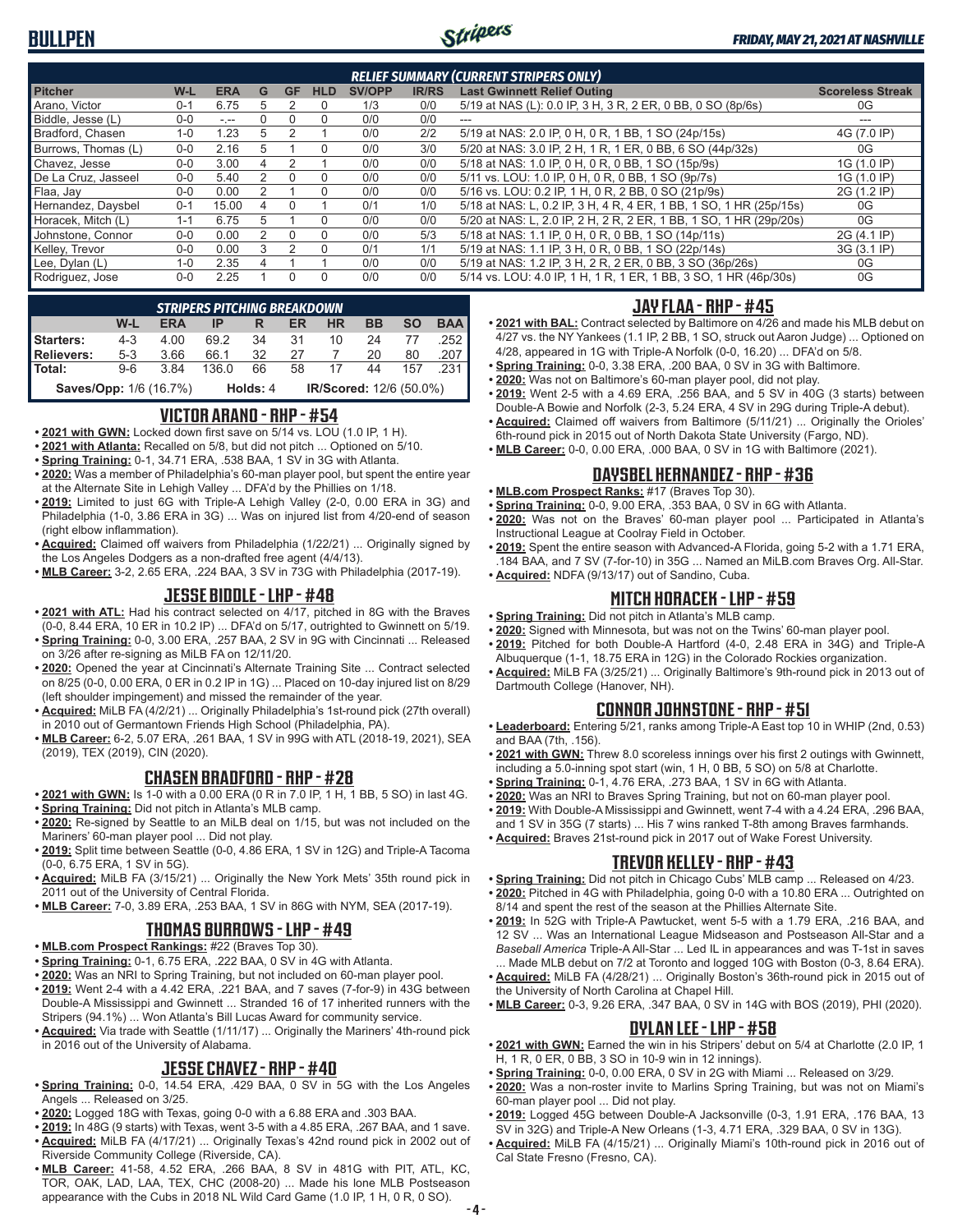

| <b>RELIEF SUMMARY (CURRENT STRIPERS ONLY)</b> |         |            |   |           |            |               |              |                                                                    |                         |  |  |  |
|-----------------------------------------------|---------|------------|---|-----------|------------|---------------|--------------|--------------------------------------------------------------------|-------------------------|--|--|--|
| <b>Pitcher</b>                                | W-L     | <b>ERA</b> | G | <b>GF</b> | <b>HLD</b> | <b>SV/OPP</b> | <b>IR/RS</b> | <b>Last Gwinnett Relief Outing</b>                                 | <b>Scoreless Streak</b> |  |  |  |
| Arano, Victor                                 | 0-1     | 6.75       | 5 |           | 0          | 1/3           | 0/0          | 5/19 at NAS (L): 0.0 IP, 3 H, 3 R, 2 ER, 0 BB, 0 SO (8p/6s)        | 0G                      |  |  |  |
| Biddle, Jesse (L)                             | $0 - 0$ | $-1 - 1$   |   |           | $\Omega$   | 0/0           | 0/0          | ---                                                                | ---                     |  |  |  |
| Bradford, Chasen                              | $1 - 0$ | 1.23       | 5 |           |            | 0/0           | 2/2          | 5/19 at NAS: 2.0 IP, 0 H, 0 R, 1 BB, 1 SO (24p/15s)                | 4G (7.0 IP)             |  |  |  |
| Burrows, Thomas (L)                           | $0 - 0$ | 2.16       | 5 |           | $\Omega$   | 0/0           | 3/0          | 5/20 at NAS: 3.0 IP, 2 H, 1 R, 1 ER, 0 BB, 6 SO (44p/32s)          | 0G                      |  |  |  |
| Chavez, Jesse                                 | $0 - 0$ | 3.00       | 4 |           |            | 0/0           | 0/0          | 5/18 at NAS: 1.0 IP, 0 H, 0 R, 0 BB, 1 SO (15p/9s)                 | 1G (1.0 IP)             |  |  |  |
| De La Cruz, Jasseel                           | $0 - 0$ | 5.40       |   |           | $\Omega$   | 0/0           | 0/0          | 5/11 vs. LOU: 1.0 IP, 0 H, 0 R, 0 BB, 1 SO (9p/7s)                 | 1G (1.0 IP)             |  |  |  |
| Flaa, Jay                                     | $0 - 0$ | 0.00       |   |           | 0          | 0/0           | 0/0          | 5/16 vs. LOU: 0.2 IP, 1 H, 0 R, 2 BB, 0 SO (21p/9s)                | 2G (1.2 IP)             |  |  |  |
| Hernandez, Daysbel                            | $0 - 1$ | 15.00      | 4 |           |            | 0/1           | 1/0          | 5/18 at NAS: L, 0.2 IP, 3 H, 4 R, 4 ER, 1 BB, 1 SO, 1 HR (25p/15s) | 0G                      |  |  |  |
| Horacek, Mitch (L)                            | $1 - 1$ | 6.75       | 5 |           | $\Omega$   | 0/0           | 0/0          | 5/20 at NAS: L, 2.0 IP, 2 H, 2 R, 2 ER, 1 BB, 1 SO, 1 HR (29p/20s) | 0G                      |  |  |  |
| Johnstone, Connor                             | $0 - 0$ | 0.00       |   |           | $\Omega$   | 0/0           | 5/3          | 5/18 at NAS: 1.1 IP, 0 H, 0 R, 0 BB, 1 SO (14p/11s)                | 2G (4.1 IP)             |  |  |  |
| Kelley, Trevor                                | $0 - 0$ | 0.00       | 3 |           | U          | 0/1           | 1/1          | 5/19 at NAS: 1.1 IP, 3 H, 0 R, 0 BB, 1 SO (22p/14s)                | 3G (3.1 IP)             |  |  |  |
| Lee, Dylan (L)                                | $1 - 0$ | 2.35       |   |           |            | 0/0           | 0/0          | 5/19 at NAS: 1.2 IP, 3 H, 2 R, 2 ER, 0 BB, 3 SO (36p/26s)          | 0G                      |  |  |  |
| Rodriguez, Jose                               | $0 - 0$ | 2.25       |   | $\Omega$  | $\Omega$   | 0/0           | 0/0          | 5/14 vs. LOU: 4.0 IP, 1 H, 1 R, 1 ER, 1 BB, 3 SO, 1 HR (46p/30s)   | 0G                      |  |  |  |

| STRIPERS PITCHING BREAKDOWN   |         |            |       |          |     |                                |    |           |            |  |  |
|-------------------------------|---------|------------|-------|----------|-----|--------------------------------|----|-----------|------------|--|--|
|                               | W-L     | <b>ERA</b> | IP    | R        | ER  | <b>HR</b>                      | BB | <b>SO</b> | <b>BAA</b> |  |  |
| Starters:                     | $4 - 3$ | 4.00       | 692   | 34       | -31 | 10                             | 24 | 77        | .252 l     |  |  |
| <b>Relievers:</b>             | $5 - 3$ | 3.66       | 66.1  | 32       | 27  |                                | 20 | 80        | .207       |  |  |
| Total:                        | $9-6$   | 3.84       | 136 Q | 66       | 58  | 17                             | 44 | 157       | .231 l     |  |  |
| <b>Saves/Opp: 1/6 (16.7%)</b> |         |            |       | Holds: 4 |     | <b>IR/Scored: 12/6 (50.0%)</b> |    |           |            |  |  |

#### **VICTOR ARANO - RHP - #54**

- **• 2021 with GWN:** Locked down first save on 5/14 vs. LOU (1.0 IP, 1 H).
- **• 2021 with Atlanta:** Recalled on 5/8, but did not pitch ... Optioned on 5/10.
- **• Spring Training:** 0-1, 34.71 ERA, .538 BAA, 1 SV in 3G with Atlanta.
- **• 2020:** Was a member of Philadelphia's 60-man player pool, but spent the entire year at the Alternate Site in Lehigh Valley ... DFA'd by the Phillies on 1/18.
- **• 2019:** Limited to just 6G with Triple-A Lehigh Valley (2-0, 0.00 ERA in 3G) and Philadelphia (1-0, 3.86 ERA in 3G) ... Was on injured list from 4/20-end of season (right elbow inflammation).
- **• Acquired:** Claimed off waivers from Philadelphia (1/22/21) ... Originally signed by the Los Angeles Dodgers as a non-drafted free agent (4/4/13).
- **• MLB Career:** 3-2, 2.65 ERA, .224 BAA, 3 SV in 73G with Philadelphia (2017-19).

#### **JESSE BIDDLE - LHP - #48**

- **• 2021 with ATL:** Had his contract selected on 4/17, pitched in 8G with the Braves (0-0, 8.44 ERA, 10 ER in 10.2 IP) ... DFA'd on 5/17, outrighted to Gwinnett on 5/19.
- **• Spring Training:** 0-0, 3.00 ERA, .257 BAA, 2 SV in 9G with Cincinnati ... Released on 3/26 after re-signing as MiLB FA on 12/11/20.
- **• 2020:** Opened the year at Cincinnati's Alternate Training Site ... Contract selected on 8/25 (0-0, 0.00 ERA, 0 ER in 0.2 IP in 1G) ... Placed on 10-day injured list on 8/29 (left shoulder impingement) and missed the remainder of the year.
- **• Acquired:** MiLB FA (4/2/21) ... Originally Philadelphia's 1st-round pick (27th overall) in 2010 out of Germantown Friends High School (Philadelphia, PA).
- **• MLB Career:** 6-2, 5.07 ERA, .261 BAA, 1 SV in 99G with ATL (2018-19, 2021), SEA (2019), TEX (2019), CIN (2020).

#### **CHASEN BRADFORD - RHP - #28**

- **• 2021 with GWN:** Is 1-0 with a 0.00 ERA (0 R in 7.0 IP, 1 H, 1 BB, 5 SO) in last 4G.
- **• Spring Training:** Did not pitch in Atlanta's MLB camp.
- **• 2020:** Re-signed by Seattle to an MiLB deal on 1/15, but was not included on the Mariners' 60-man player pool ... Did not play.
- **• 2019:** Split time between Seattle (0-0, 4.86 ERA, 1 SV in 12G) and Triple-A Tacoma (0-0, 6.75 ERA, 1 SV in 5G).
- **• Acquired:** MiLB FA (3/15/21) ... Originally the New York Mets' 35th round pick in 2011 out of the University of Central Florida.
- **• MLB Career:** 7-0, 3.89 ERA, .253 BAA, 1 SV in 86G with NYM, SEA (2017-19).

#### **THOMAS BURROWS - LHP - #49**

- **• MLB.com Prospect Rankings:** #22 (Braves Top 30).
- **• Spring Training:** 0-1, 6.75 ERA, .222 BAA, 0 SV in 4G with Atlanta.
- **• 2020:** Was an NRI to Spring Training, but not included on 60-man player pool.
- **• 2019:** Went 2-4 with a 4.42 ERA, .221 BAA, and 7 saves (7-for-9) in 43G between Double-A Mississippi and Gwinnett ... Stranded 16 of 17 inherited runners with the Stripers (94.1%) ... Won Atlanta's Bill Lucas Award for community service.
- **• Acquired:** Via trade with Seattle (1/11/17) ... Originally the Mariners' 4th-round pick in 2016 out of the University of Alabama.

### **JESSE CHAVEZ - RHP - #40**

- **• Spring Training:** 0-0, 14.54 ERA, .429 BAA, 0 SV in 5G with the Los Angeles Angels ... Released on 3/25.
- **• 2020:** Logged 18G with Texas, going 0-0 with a 6.88 ERA and .303 BAA.
- **• 2019:** In 48G (9 starts) with Texas, went 3-5 with a 4.85 ERA, .267 BAA, and 1 save. **• Acquired:** MiLB FA (4/17/21) ... Originally Texas's 42nd round pick in 2002 out of Riverside Community College (Riverside, CA).
- **• MLB Career:** 41-58, 4.52 ERA, .266 BAA, 8 SV in 481G with PIT, ATL, KC, TOR, OAK, LAD, LAA, TEX, CHC (2008-20) ... Made his lone MLB Postseason appearance with the Cubs in 2018 NL Wild Card Game (1.0 IP, 1 H, 0 R, 0 SO).

#### **JAY FLAA - RHP - #45**

- **• 2021 with BAL:** Contract selected by Baltimore on 4/26 and made his MLB debut on 4/27 vs. the NY Yankees (1.1 IP, 2 BB, 1 SO, struck out Aaron Judge) ... Optioned on 4/28, appeared in 1G with Triple-A Norfolk (0-0, 16.20) ... DFA'd on 5/8.
- **• Spring Training:** 0-0, 3.38 ERA, .200 BAA, 0 SV in 3G with Baltimore.
- **• 2020:** Was not on Baltimore's 60-man player pool, did not play.
- **• 2019:** Went 2-5 with a 4.69 ERA, .256 BAA, and 5 SV in 40G (3 starts) between Double-A Bowie and Norfolk (2-3, 5.24 ERA, 4 SV in 29G during Triple-A debut).
- **• Acquired:** Claimed off waivers from Baltimore (5/11/21) ... Originally the Orioles' 6th-round pick in 2015 out of North Dakota State University (Fargo, ND).
- **• MLB Career:** 0-0, 0.00 ERA, .000 BAA, 0 SV in 1G with Baltimore (2021).

#### **DAYSBEL HERNANDEZ - RHP - #36**

- **• MLB.com Prospect Ranks:** #17 (Braves Top 30).
- **• Spring Training:** 0-0, 9.00 ERA, .353 BAA, 0 SV in 6G with Atlanta.
- **• 2020:** Was not on the Braves' 60-man player pool ... Participated in Atlanta's Instructional League at Coolray Field in October.
- **• 2019:** Spent the entire season with Advanced-A Florida, going 5-2 with a 1.71 ERA, .184 BAA, and 7 SV (7-for-10) in 35G ... Named an MiLB.com Braves Org. All-Star.
- **• Acquired:** NDFA (9/13/17) out of Sandino, Cuba.

#### **MITCH HORACEK - LHP - #59**

- **• Spring Training:** Did not pitch in Atlanta's MLB camp.
- **• 2020:** Signed with Minnesota, but was not on the Twins' 60-man player pool.
- **• 2019:** Pitched for both Double-A Hartford (4-0, 2.48 ERA in 34G) and Triple-A Albuquerque (1-1, 18.75 ERA in 12G) in the Colorado Rockies organization.
- **• Acquired:** MiLB FA (3/25/21) ... Originally Baltimore's 9th-round pick in 2013 out of Dartmouth College (Hanover, NH).

#### **CONNOR JOHNSTONE - RHP - #51**

- **• Leaderboard:** Entering 5/21, ranks among Triple-A East top 10 in WHIP (2nd, 0.53) and BAA (7th, .156).
- **• 2021 with GWN:** Threw 8.0 scoreless innings over his first 2 outings with Gwinnett, including a 5.0-inning spot start (win, 1 H, 0 BB, 5 SO) on 5/8 at Charlotte.
- **• Spring Training:** 0-1, 4.76 ERA, .273 BAA, 1 SV in 6G with Atlanta.
- **• 2020:** Was an NRI to Braves Spring Training, but not on 60-man player pool.
- **• 2019:** With Double-A Mississippi and Gwinnett, went 7-4 with a 4.24 ERA, .296 BAA, and 1 SV in 35G (7 starts) ... His 7 wins ranked T-8th among Braves farmhands.
- **• Acquired:** Braves 21st-round pick in 2017 out of Wake Forest University.

#### **TREVOR KELLEY - RHP - #43**

- **• Spring Training:** Did not pitch in Chicago Cubs' MLB camp ... Released on 4/23.
- **• 2020:** Pitched in 4G with Philadelphia, going 0-0 with a 10.80 ERA ... Outrighted on 8/14 and spent the rest of the season at the Phillies Alternate Site.
- **• 2019:** In 52G with Triple-A Pawtucket, went 5-5 with a 1.79 ERA, .216 BAA, and 12 SV ... Was an International League Midseason and Postseason All-Star and a *Baseball America* Triple-A All-Star ... Led IL in appearances and was T-1st in saves . Made MLB debut on 7/2 at Toronto and logged 10G with Boston (0-3, 8.64 ERA).
- **• Acquired:** MiLB FA (4/28/21) ... Originally Boston's 36th-round pick in 2015 out of the University of North Carolina at Chapel Hill.
- **• MLB Career:** 0-3, 9.26 ERA, .347 BAA, 0 SV in 14G with BOS (2019), PHI (2020).

#### **DYLAN LEE - LHP - #58**

- **• 2021 with GWN:** Earned the win in his Stripers' debut on 5/4 at Charlotte (2.0 IP, 1 H, 1 R, 0 ER, 0 BB, 3 SO in 10-9 win in 12 innings).
- **• Spring Training:** 0-0, 0.00 ERA, 0 SV in 2G with Miami ... Released on 3/29.
- **• 2020:** Was a non-roster invite to Marlins Spring Training, but was not on Miami's 60-man player pool ... Did not play.
- **• 2019:** Logged 45G between Double-A Jacksonville (0-3, 1.91 ERA, .176 BAA, 13 SV in 32G) and Triple-A New Orleans (1-3, 4.71 ERA, .329 BAA, 0 SV in 13G).
- **• Acquired:** MiLB FA (4/15/21) ... Originally Miami's 10th-round pick in 2016 out of Cal State Fresno (Fresno, CA).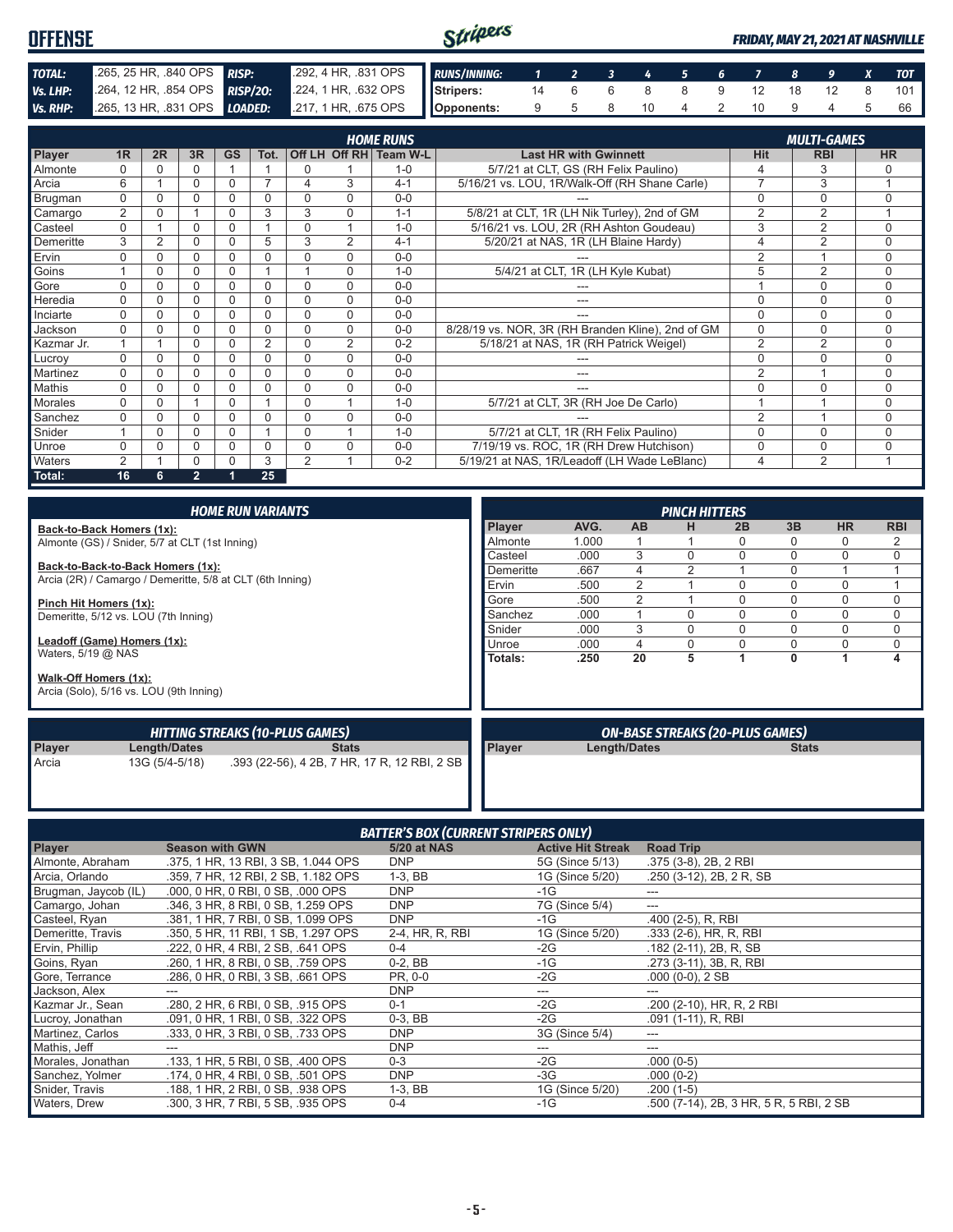| <b>OFFENSE</b> |                                                                                        |                                                         | Stripers |  |  |  |  |  | <b>FRIDAY. MAY 21. 2021 AT NASHVILLE</b> |
|----------------|----------------------------------------------------------------------------------------|---------------------------------------------------------|----------|--|--|--|--|--|------------------------------------------|
| TOTAL:         | 265, 25 HR, 840 OPS RISP:                                                              | 292, 4 HR, 831 OPS RUNS/INNING: 1 2 3 4 5 6 7 8 9 X TOT |          |  |  |  |  |  |                                          |
| Vs. LHP:       | 264, 12 HR, 854 OPS RISP/20: 224, 1 HR, 632 OPS Stripers: 14 6 6 8 8 9 12 18 12 8 101  |                                                         |          |  |  |  |  |  |                                          |
|                | Vs. RHP: 265, 13 HR, 831 OPS LOADED: 217, 1 HR, 675 OPS Opponents: 9 5 8 10 4 2 10 9 4 |                                                         |          |  |  |  |  |  | 66.                                      |

| <b>HOME RUNS</b><br><b>MULTI-GAMES</b> |                |          |                |           |                |                |                |                        |                                                   |                |                |           |
|----------------------------------------|----------------|----------|----------------|-----------|----------------|----------------|----------------|------------------------|---------------------------------------------------|----------------|----------------|-----------|
| Player                                 | 1R             | 2R       | 3R             | <b>GS</b> | Tot.           |                |                | Off LH Off RH Team W-L | <b>Last HR with Gwinnett</b>                      | Hit            | <b>RBI</b>     | <b>HR</b> |
| Almonte                                | $\Omega$       |          | 0              |           |                | $\Omega$       |                | $1 - 0$                | 5/7/21 at CLT, GS (RH Felix Paulino)              | 4              | 3              | 0         |
| Arcia                                  | 6              |          | 0              | 0         |                | 4              | 3              | $4 - 1$                | 5/16/21 vs. LOU, 1R/Walk-Off (RH Shane Carle)     | $\overline{7}$ | 3              |           |
| Brugman                                | $\Omega$       |          | 0              | 0         | 0              | 0              | $\Omega$       | $0 - 0$                |                                                   | 0              | $\mathbf 0$    | $\Omega$  |
| Camargo                                | $\overline{2}$ | $\Omega$ |                | $\Omega$  | 3              | 3              | $\Omega$       | $1 - 1$                | 5/8/21 at CLT, 1R (LH Nik Turley), 2nd of GM      | 2              | 2              |           |
| Casteel                                | $\Omega$       |          | 0              | 0         |                | $\Omega$       |                | $1 - 0$                | 5/16/21 vs. LOU, 2R (RH Ashton Goudeau)           | 3              | 2              | $\Omega$  |
| Demeritte                              | 3              | 2        | 0              | 0         | 5              | 3              | 2              | $4 - 1$                | 5/20/21 at NAS, 1R (LH Blaine Hardy)              | 4              | $\overline{2}$ | $\Omega$  |
| Ervin                                  | $\Omega$       |          | 0              | 0         | 0              | $\Omega$       | $\Omega$       | $0 - 0$                |                                                   | 2              |                | $\Omega$  |
| Goins                                  |                | U        | 0              | 0         |                |                | $\Omega$       | $1 - 0$                | 5/4/21 at CLT, 1R (LH Kyle Kubat)                 | 5              | 2              | $\Omega$  |
| Gore                                   | U              |          | 0              | 0         | O              | $\Omega$       | $\Omega$       | $0 - 0$                |                                                   |                | $\Omega$       | $\Omega$  |
| Heredia                                | $\Omega$       |          | 0              | 0         | 0              | $\Omega$       | $\Omega$       | $0 - 0$                | ---                                               | $\Omega$       | $\Omega$       | $\Omega$  |
| Inciarte                               | $\Omega$       |          | 0              | 0         | O              | $\Omega$       | $\Omega$       | $0 - 0$                |                                                   | $\Omega$       | $\Omega$       | $\Omega$  |
| Jackson                                | $\Omega$       |          | 0              | 0         | 0              | $\Omega$       | $\Omega$       | $0 - 0$                | 8/28/19 vs. NOR, 3R (RH Branden Kline), 2nd of GM | $\Omega$       | $\mathbf 0$    | $\Omega$  |
| Kazmar Jr.                             |                |          | 0              | 0         | $\overline{2}$ | 0              | $\overline{2}$ | $0 - 2$                | 5/18/21 at NAS, 1R (RH Patrick Weigel)            | $\overline{2}$ | 2              | $\Omega$  |
| Lucroy                                 | $\Omega$       |          | 0              | 0         | O              | $\Omega$       | $\Omega$       | $0 - 0$                |                                                   | 0              | $\Omega$       | $\Omega$  |
| Martinez                               | $\Omega$       |          | 0              | 0         | $\Omega$       | 0              | $\Omega$       | $0 - 0$                | ---                                               | $\overline{2}$ |                | $\Omega$  |
| Mathis                                 | $\Omega$       |          | 0              | 0         | O              | $\Omega$       | $\Omega$       | $0 - 0$                | ---                                               | 0              | $\Omega$       | $\Omega$  |
| Morales                                | $\Omega$       |          |                | 0         |                | $\Omega$       |                | $1 - 0$                | 5/7/21 at CLT, 3R (RH Joe De Carlo)               |                |                | $\Omega$  |
| Sanchez                                | $\Omega$       |          | 0              | U         | ი              | $\Omega$       | $\Omega$       | $0 - 0$                |                                                   | $\overline{2}$ |                | $\Omega$  |
| Snider                                 |                | U        | 0              | 0         |                | $\Omega$       |                | $1 - 0$                | 5/7/21 at CLT, 1R (RH Felix Paulino)              | 0              | $\Omega$       | $\Omega$  |
| Unroe                                  | $\Omega$       |          | 0              | 0         | ი              | $\Omega$       | $\Omega$       | $0 - 0$                | 7/19/19 vs. ROC, 1R (RH Drew Hutchison)           | 0              | $\Omega$       | $\Omega$  |
| Waters                                 | $\overline{2}$ |          | 0              | 0         | 3              | $\overline{2}$ |                | $0 - 2$                | 5/19/21 at NAS, 1R/Leadoff (LH Wade LeBlanc)      | 4              | 2              |           |
| Total:                                 | 16             | 6        | $\overline{2}$ |           | 25             |                |                |                        |                                                   |                |                |           |

|                             |                                                           | <b>HOME RUN VARIANTS</b>                     | <b>PINCH HITTERS</b> |      |              |                |                                        |              |           |            |  |  |
|-----------------------------|-----------------------------------------------------------|----------------------------------------------|----------------------|------|--------------|----------------|----------------------------------------|--------------|-----------|------------|--|--|
| Back-to-Back Homers (1x):   |                                                           |                                              | <b>Player</b>        | AVG. | <b>AB</b>    | н              | 2B                                     | 3B           | <b>HR</b> | <b>RBI</b> |  |  |
|                             | Almonte (GS) / Snider, 5/7 at CLT (1st Inning)            | Almonte                                      | 1.000                |      |              | ი              | 0                                      | 0            | 2         |            |  |  |
|                             |                                                           |                                              | Casteel              | .000 | 3            | $\Omega$       | 0                                      | $\Omega$     | $\Omega$  | $\Omega$   |  |  |
|                             | Back-to-Back-to-Back Homers (1x):                         |                                              | Demeritte            | .667 | 4            | $\mathfrak{p}$ |                                        | $\Omega$     |           |            |  |  |
|                             | Arcia (2R) / Camargo / Demeritte, 5/8 at CLT (6th Inning) |                                              | Ervin                | .500 | 2            |                | 0                                      | 0            | $\Omega$  |            |  |  |
| Pinch Hit Homers (1x):      |                                                           |                                              | Gore                 | .500 | 2            |                | 0                                      | 0            | 0         | 0          |  |  |
|                             | Demeritte, 5/12 vs. LOU (7th Inning)                      |                                              | Sanchez              | .000 |              | $\Omega$       | 0                                      | $\Omega$     | $\Omega$  | 0          |  |  |
|                             |                                                           |                                              | Snider               | .000 | 3            | $\Omega$       | 0                                      | $\Omega$     | $\Omega$  | 0          |  |  |
| Leadoff (Game) Homers (1x): |                                                           |                                              | Unroe                | .000 | 4            | 0              | 0                                      | 0            | $\Omega$  | 0          |  |  |
| Waters, $5/19$ @ NAS        |                                                           |                                              | Totals:              | .250 | 20           | 5              |                                        | 0            |           | 4          |  |  |
| Walk-Off Homers (1x):       | Arcia (Solo), 5/16 vs. LOU (9th Inning)                   |                                              |                      |      |              |                |                                        |              |           |            |  |  |
|                             |                                                           | <b>HITTING STREAKS (10-PLUS GAMES)</b>       |                      |      |              |                | <b>ON-BASE STREAKS (20-PLUS GAMES)</b> |              |           |            |  |  |
| Player                      | Length/Dates                                              | <b>Stats</b>                                 | Player               |      | Length/Dates |                |                                        | <b>Stats</b> |           |            |  |  |
| Arcia                       | 13G (5/4-5/18)                                            | .393 (22-56), 4 2B, 7 HR, 17 R, 12 RBI, 2 SB |                      |      |              |                |                                        |              |           |            |  |  |

| <b>BATTER'S BOX (CURRENT STRIPERS ONLY)</b> |                                     |                 |                          |                                         |  |  |  |  |  |  |  |
|---------------------------------------------|-------------------------------------|-----------------|--------------------------|-----------------------------------------|--|--|--|--|--|--|--|
| <b>Player</b>                               | <b>Season with GWN</b>              | 5/20 at NAS     | <b>Active Hit Streak</b> | <b>Road Trip</b>                        |  |  |  |  |  |  |  |
| Almonte, Abraham                            | .375, 1 HR, 13 RBI, 3 SB, 1.044 OPS | <b>DNP</b>      | 5G (Since 5/13)          | .375 (3-8), 2B, 2 RBI                   |  |  |  |  |  |  |  |
| Arcia, Orlando                              | .359, 7 HR, 12 RBI, 2 SB, 1.182 OPS | $1-3, BB$       | 1G (Since 5/20)          | .250 (3-12), 2B, 2R, SB                 |  |  |  |  |  |  |  |
| Brugman, Jaycob (IL)                        | .000, 0 HR, 0 RBI, 0 SB, .000 OPS   | <b>DNP</b>      | $-1G$                    | ---                                     |  |  |  |  |  |  |  |
| Camargo, Johan                              | .346. 3 HR. 8 RBI. 0 SB. 1.259 OPS  | <b>DNP</b>      | 7G (Since 5/4)           | ---                                     |  |  |  |  |  |  |  |
| Casteel, Ryan                               | .381, 1 HR, 7 RBI, 0 SB, 1,099 OPS  | <b>DNP</b>      | -1G                      | .400 (2-5), R, RBI                      |  |  |  |  |  |  |  |
| Demeritte, Travis                           | .350, 5 HR, 11 RBI, 1 SB, 1.297 OPS | 2-4, HR, R, RBI | 1G (Since 5/20)          | $.333$ (2-6), HR, R, RBI                |  |  |  |  |  |  |  |
| Ervin, Phillip                              | .222, 0 HR, 4 RBI, 2 SB, .641 OPS   | $0 - 4$         | $-2G$                    | $.182$ (2-11), 2B, R, SB                |  |  |  |  |  |  |  |
| Goins, Ryan                                 | .260, 1 HR, 8 RBI, 0 SB, .759 OPS   | $0-2.$ BB       | $-1G$                    | .273 (3-11), 3B, R, RBI                 |  |  |  |  |  |  |  |
| Gore, Terrance                              | .286, 0 HR, 0 RBI, 3 SB, .661 OPS   | PR, 0-0         | $-2G$                    | .000 (0-0), 2 SB                        |  |  |  |  |  |  |  |
| Jackson, Alex                               |                                     | <b>DNP</b>      | ---                      |                                         |  |  |  |  |  |  |  |
| Kazmar Jr., Sean                            | .280, 2 HR, 6 RBI, 0 SB, .915 OPS   | $0 - 1$         | $-2G$                    | .200 (2-10), HR, R, 2 RBI               |  |  |  |  |  |  |  |
| Lucroy, Jonathan                            | .091, 0 HR, 1 RBI, 0 SB, .322 OPS   | $0-3$ , BB      | $-2G$                    | .091 (1-11), R, RBI                     |  |  |  |  |  |  |  |
| Martinez, Carlos                            | .333, 0 HR, 3 RBI, 0 SB, .733 OPS   | <b>DNP</b>      | 3G (Since 5/4)           | ---                                     |  |  |  |  |  |  |  |
| Mathis, Jeff                                | ---                                 | <b>DNP</b>      | ---                      | ---                                     |  |  |  |  |  |  |  |
| Morales, Jonathan                           | .133, 1 HR, 5 RBI, 0 SB, .400 OPS   | $0 - 3$         | $-2G$                    | $.000(0-5)$                             |  |  |  |  |  |  |  |
| Sanchez, Yolmer                             | .174, 0 HR, 4 RBI, 0 SB, .501 OPS   | <b>DNP</b>      | $-3G$                    | $.000(0-2)$                             |  |  |  |  |  |  |  |
| Snider, Travis                              | .188, 1 HR, 2 RBI, 0 SB, .938 OPS   | $1-3, BB$       | 1G (Since 5/20)          | $.200(1-5)$                             |  |  |  |  |  |  |  |
| Waters, Drew                                | .300, 3 HR, 7 RBI, 5 SB, .935 OPS   | $0 - 4$         | $-1G$                    | .500 (7-14), 2B, 3 HR, 5 R, 5 RBI, 2 SB |  |  |  |  |  |  |  |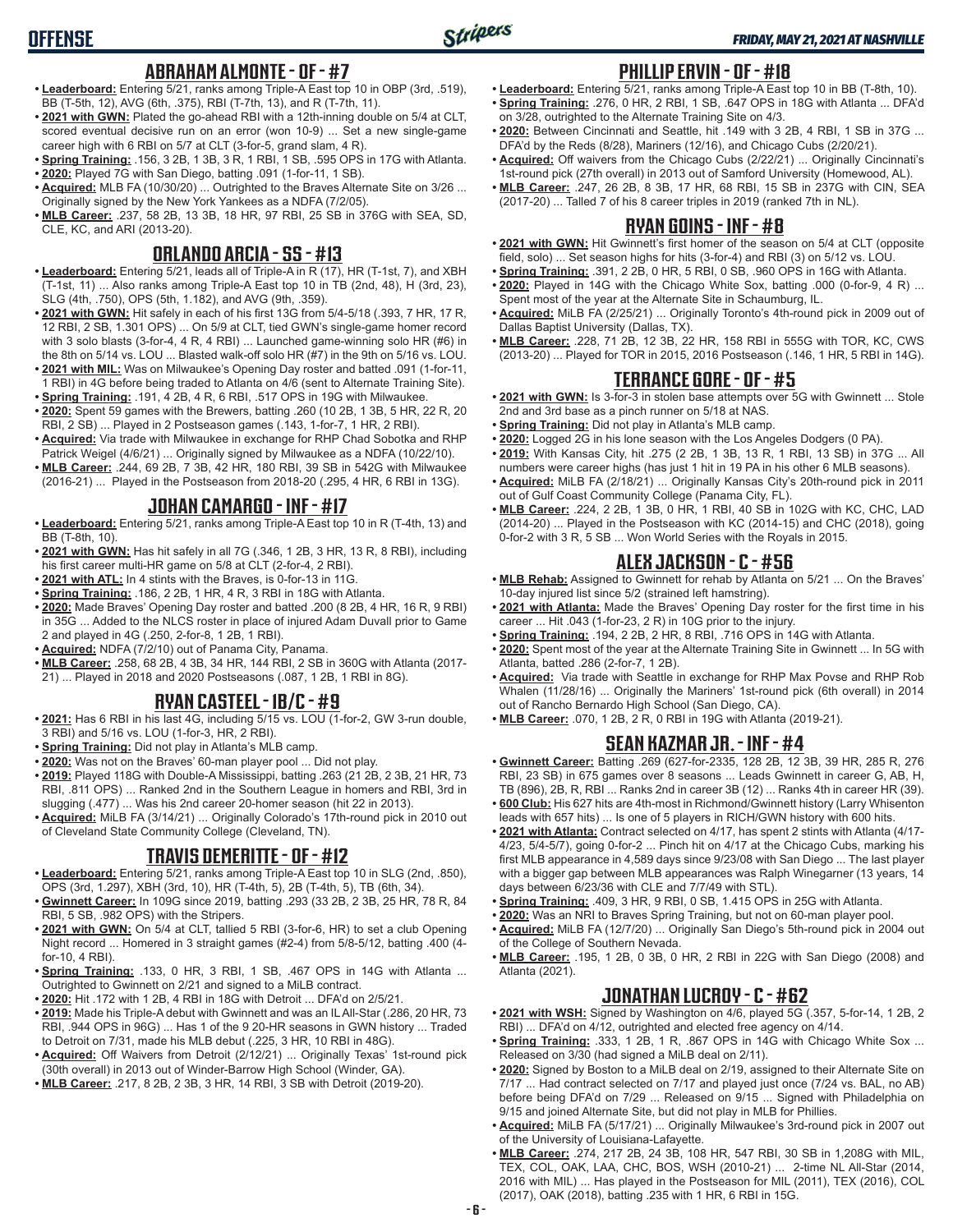### **ABRAHAM ALMONTE - OF - #7**

- **• Leaderboard:** Entering 5/21, ranks among Triple-A East top 10 in OBP (3rd, .519), BB (T-5th, 12), AVG (6th, .375), RBI (T-7th, 13), and R (T-7th, 11).
- **• 2021 with GWN:** Plated the go-ahead RBI with a 12th-inning double on 5/4 at CLT, scored eventual decisive run on an error (won 10-9) ... Set a new single-game career high with 6 RBI on 5/7 at CLT (3-for-5, grand slam, 4 R).
- **• Spring Training:** .156, 3 2B, 1 3B, 3 R, 1 RBI, 1 SB, .595 OPS in 17G with Atlanta.
- **• 2020:** Played 7G with San Diego, batting .091 (1-for-11, 1 SB). **• Acquired:** MLB FA (10/30/20) ... Outrighted to the Braves Alternate Site on 3/26 ...
- Originally signed by the New York Yankees as a NDFA (7/2/05).
- **• MLB Career:** .237, 58 2B, 13 3B, 18 HR, 97 RBI, 25 SB in 376G with SEA, SD, CLE, KC, and ARI (2013-20).

### **ORLANDO ARCIA - SS - #13**

- **• Leaderboard:** Entering 5/21, leads all of Triple-A in R (17), HR (T-1st, 7), and XBH (T-1st, 11) ... Also ranks among Triple-A East top 10 in TB (2nd, 48), H (3rd, 23), SLG (4th, .750), OPS (5th, 1.182), and AVG (9th, .359).
- **• 2021 with GWN:** Hit safely in each of his first 13G from 5/4-5/18 (.393, 7 HR, 17 R, 12 RBI, 2 SB, 1.301 OPS) ... On 5/9 at CLT, tied GWN's single-game homer record with 3 solo blasts (3-for-4, 4 R, 4 RBI) ... Launched game-winning solo HR (#6) in the 8th on 5/14 vs. LOU ... Blasted walk-off solo HR (#7) in the 9th on 5/16 vs. LOU.
- **• 2021 with MIL:** Was on Milwaukee's Opening Day roster and batted .091 (1-for-11, 1 RBI) in 4G before being traded to Atlanta on 4/6 (sent to Alternate Training Site).
- **• Spring Training:** .191, 4 2B, 4 R, 6 RBI, .517 OPS in 19G with Milwaukee.
- **• 2020:** Spent 59 games with the Brewers, batting .260 (10 2B, 1 3B, 5 HR, 22 R, 20 RBI, 2 SB) ... Played in 2 Postseason games (.143, 1-for-7, 1 HR, 2 RBI).
- **• Acquired:** Via trade with Milwaukee in exchange for RHP Chad Sobotka and RHP Patrick Weigel (4/6/21) ... Originally signed by Milwaukee as a NDFA (10/22/10).
- **• MLB Career:** .244, 69 2B, 7 3B, 42 HR, 180 RBI, 39 SB in 542G with Milwaukee (2016-21) ... Played in the Postseason from 2018-20 (.295, 4 HR, 6 RBI in 13G).

## **JOHAN CAMARGO - INF - #17**

- **• Leaderboard:** Entering 5/21, ranks among Triple-A East top 10 in R (T-4th, 13) and BB (T-8th, 10).
- **• 2021 with GWN:** Has hit safely in all 7G (.346, 1 2B, 3 HR, 13 R, 8 RBI), including his first career multi-HR game on 5/8 at CLT (2-for-4, 2 RBI).
- **• 2021 with ATL:** In 4 stints with the Braves, is 0-for-13 in 11G.
- **• Spring Training:** .186, 2 2B, 1 HR, 4 R, 3 RBI in 18G with Atlanta.
- **• 2020:** Made Braves' Opening Day roster and batted .200 (8 2B, 4 HR, 16 R, 9 RBI) in 35G ... Added to the NLCS roster in place of injured Adam Duvall prior to Game 2 and played in 4G (.250, 2-for-8, 1 2B, 1 RBI).
- **• Acquired:** NDFA (7/2/10) out of Panama City, Panama.
- **• MLB Career:** .258, 68 2B, 4 3B, 34 HR, 144 RBI, 2 SB in 360G with Atlanta (2017- 21) ... Played in 2018 and 2020 Postseasons (.087, 1 2B, 1 RBI in 8G).

## **RYAN CASTEEL - 1B/C - #9**

- **• 2021:** Has 6 RBI in his last 4G, including 5/15 vs. LOU (1-for-2, GW 3-run double, 3 RBI) and 5/16 vs. LOU (1-for-3, HR, 2 RBI).
- **• Spring Training:** Did not play in Atlanta's MLB camp.
- **• 2020:** Was not on the Braves' 60-man player pool ... Did not play.
- **• 2019:** Played 118G with Double-A Mississippi, batting .263 (21 2B, 2 3B, 21 HR, 73 RBI, .811 OPS) ... Ranked 2nd in the Southern League in homers and RBI, 3rd in slugging (.477) ... Was his 2nd career 20-homer season (hit 22 in 2013).
- **• Acquired:** MiLB FA (3/14/21) ... Originally Colorado's 17th-round pick in 2010 out of Cleveland State Community College (Cleveland, TN).

## **TRAVIS DEMERITTE - OF - #12**

- **• Leaderboard:** Entering 5/21, ranks among Triple-A East top 10 in SLG (2nd, .850), OPS (3rd, 1.297), XBH (3rd, 10), HR (T-4th, 5), 2B (T-4th, 5), TB (6th, 34).
- **• Gwinnett Career:** In 109G since 2019, batting .293 (33 2B, 2 3B, 25 HR, 78 R, 84 RBI, 5 SB, .982 OPS) with the Stripers.
- **• 2021 with GWN:** On 5/4 at CLT, tallied 5 RBI (3-for-6, HR) to set a club Opening Night record ... Homered in 3 straight games (#2-4) from 5/8-5/12, batting .400 (4 for-10, 4 RBI).
- **• Spring Training:** .133, 0 HR, 3 RBI, 1 SB, .467 OPS in 14G with Atlanta ... Outrighted to Gwinnett on 2/21 and signed to a MiLB contract.
- **• 2020:** Hit .172 with 1 2B, 4 RBI in 18G with Detroit ... DFA'd on 2/5/21.
- **• 2019:** Made his Triple-A debut with Gwinnett and was an IL All-Star (.286, 20 HR, 73 RBI, .944 OPS in 96G) ... Has 1 of the 9 20-HR seasons in GWN history ... Traded to Detroit on 7/31, made his MLB debut (.225, 3 HR, 10 RBI in 48G).
- **• Acquired:** Off Waivers from Detroit (2/12/21) ... Originally Texas' 1st-round pick (30th overall) in 2013 out of Winder-Barrow High School (Winder, GA).
- **• MLB Career:** .217, 8 2B, 2 3B, 3 HR, 14 RBI, 3 SB with Detroit (2019-20).

#### **PHILLIP ERVIN - OF - #18**

- **• Leaderboard:** Entering 5/21, ranks among Triple-A East top 10 in BB (T-8th, 10). **• Spring Training:** .276, 0 HR, 2 RBI, 1 SB, .647 OPS in 18G with Atlanta ... DFA'd on 3/28, outrighted to the Alternate Training Site on 4/3.
- **• 2020:** Between Cincinnati and Seattle, hit .149 with 3 2B, 4 RBI, 1 SB in 37G ... DFA'd by the Reds (8/28), Mariners (12/16), and Chicago Cubs (2/20/21).
- **• Acquired:** Off waivers from the Chicago Cubs (2/22/21) ... Originally Cincinnati's 1st-round pick (27th overall) in 2013 out of Samford University (Homewood, AL).
- **• MLB Career:** .247, 26 2B, 8 3B, 17 HR, 68 RBI, 15 SB in 237G with CIN, SEA (2017-20) ... Talled 7 of his 8 career triples in 2019 (ranked 7th in NL).

#### **RYAN GOINS - INF - #8**

- **• 2021 with GWN:** Hit Gwinnett's first homer of the season on 5/4 at CLT (opposite field, solo) ... Set season highs for hits (3-for-4) and RBI (3) on 5/12 vs. LOU.
- **• Spring Training:** .391, 2 2B, 0 HR, 5 RBI, 0 SB, .960 OPS in 16G with Atlanta.
- **• 2020:** Played in 14G with the Chicago White Sox, batting .000 (0-for-9, 4 R) ... Spent most of the year at the Alternate Site in Schaumburg, IL.
- **• Acquired:** MiLB FA (2/25/21) ... Originally Toronto's 4th-round pick in 2009 out of Dallas Baptist University (Dallas, TX).
- **• MLB Career:** .228, 71 2B, 12 3B, 22 HR, 158 RBI in 555G with TOR, KC, CWS (2013-20) ... Played for TOR in 2015, 2016 Postseason (.146, 1 HR, 5 RBI in 14G).

#### **TERRANCE GORE - OF - #5**

- **• 2021 with GWN:** Is 3-for-3 in stolen base attempts over 5G with Gwinnett ... Stole 2nd and 3rd base as a pinch runner on 5/18 at NAS.
- **• Spring Training:** Did not play in Atlanta's MLB camp.
- **• 2020:** Logged 2G in his lone season with the Los Angeles Dodgers (0 PA).
- **• 2019:** With Kansas City, hit .275 (2 2B, 1 3B, 13 R, 1 RBI, 13 SB) in 37G ... All numbers were career highs (has just 1 hit in 19 PA in his other 6 MLB seasons).
- **• Acquired:** MiLB FA (2/18/21) ... Originally Kansas City's 20th-round pick in 2011 out of Gulf Coast Community College (Panama City, FL).
- **• MLB Career:** .224, 2 2B, 1 3B, 0 HR, 1 RBI, 40 SB in 102G with KC, CHC, LAD (2014-20) ... Played in the Postseason with KC (2014-15) and CHC (2018), going 0-for-2 with 3 R, 5 SB ... Won World Series with the Royals in 2015.

#### **ALEX JACKSON - C - #56**

- **• MLB Rehab:** Assigned to Gwinnett for rehab by Atlanta on 5/21 ... On the Braves' 10-day injured list since 5/2 (strained left hamstring).
- **• 2021 with Atlanta:** Made the Braves' Opening Day roster for the first time in his career ... Hit .043 (1-for-23, 2 R) in 10G prior to the injury.
- **• Spring Training:** .194, 2 2B, 2 HR, 8 RBI, .716 OPS in 14G with Atlanta.
- **• 2020:** Spent most of the year at the Alternate Training Site in Gwinnett ... In 5G with Atlanta, batted .286 (2-for-7, 1 2B).
- **• Acquired:** Via trade with Seattle in exchange for RHP Max Povse and RHP Rob Whalen (11/28/16) ... Originally the Mariners' 1st-round pick (6th overall) in 2014 out of Rancho Bernardo High School (San Diego, CA).
- **• MLB Career:** .070, 1 2B, 2 R, 0 RBI in 19G with Atlanta (2019-21).

#### **SEAN KAZMAR JR. - INF - #4**

- **• Gwinnett Career:** Batting .269 (627-for-2335, 128 2B, 12 3B, 39 HR, 285 R, 276 RBI, 23 SB) in 675 games over 8 seasons ... Leads Gwinnett in career G, AB, H, TB (896), 2B, R, RBI ... Ranks 2nd in career 3B (12) ... Ranks 4th in career HR (39).
- **• 600 Club:** His 627 hits are 4th-most in Richmond/Gwinnett history (Larry Whisenton leads with 657 hits) ... Is one of 5 players in RICH/GWN history with 600 hits.
- **• 2021 with Atlanta:** Contract selected on 4/17, has spent 2 stints with Atlanta (4/17- 4/23, 5/4-5/7), going 0-for-2 ... Pinch hit on 4/17 at the Chicago Cubs, marking his first MLB appearance in 4,589 days since 9/23/08 with San Diego ... The last player with a bigger gap between MLB appearances was Ralph Winegarner (13 years, 14 days between 6/23/36 with CLE and 7/7/49 with STL).
- **• Spring Training:** .409, 3 HR, 9 RBI, 0 SB, 1.415 OPS in 25G with Atlanta.
- **• 2020:** Was an NRI to Braves Spring Training, but not on 60-man player pool.
- **• Acquired:** MiLB FA (12/7/20) ... Originally San Diego's 5th-round pick in 2004 out of the College of Southern Nevada.
- **• MLB Career:** .195, 1 2B, 0 3B, 0 HR, 2 RBI in 22G with San Diego (2008) and Atlanta (2021).

#### **JONATHAN LUCROY - C - #62**

- **• 2021 with WSH:** Signed by Washington on 4/6, played 5G (.357, 5-for-14, 1 2B, 2 RBI) ... DFA'd on 4/12, outrighted and elected free agency on 4/14.
- **• Spring Training:** .333, 1 2B, 1 R, .867 OPS in 14G with Chicago White Sox ... Released on 3/30 (had signed a MiLB deal on 2/11).
- **• 2020:** Signed by Boston to a MiLB deal on 2/19, assigned to their Alternate Site on 7/17 ... Had contract selected on 7/17 and played just once (7/24 vs. BAL, no AB) before being DFA'd on 7/29 ... Released on 9/15 ... Signed with Philadelphia on 9/15 and joined Alternate Site, but did not play in MLB for Phillies.
- **• Acquired:** MiLB FA (5/17/21) ... Originally Milwaukee's 3rd-round pick in 2007 out of the University of Louisiana-Lafayette.
- **• MLB Career:** .274, 217 2B, 24 3B, 108 HR, 547 RBI, 30 SB in 1,208G with MIL, TEX, COL, OAK, LAA, CHC, BOS, WSH (2010-21) ... 2-time NL All-Star (2014, 2016 with MIL) ... Has played in the Postseason for MIL (2011), TEX (2016), COL (2017), OAK (2018), batting .235 with 1 HR, 6 RBI in 15G.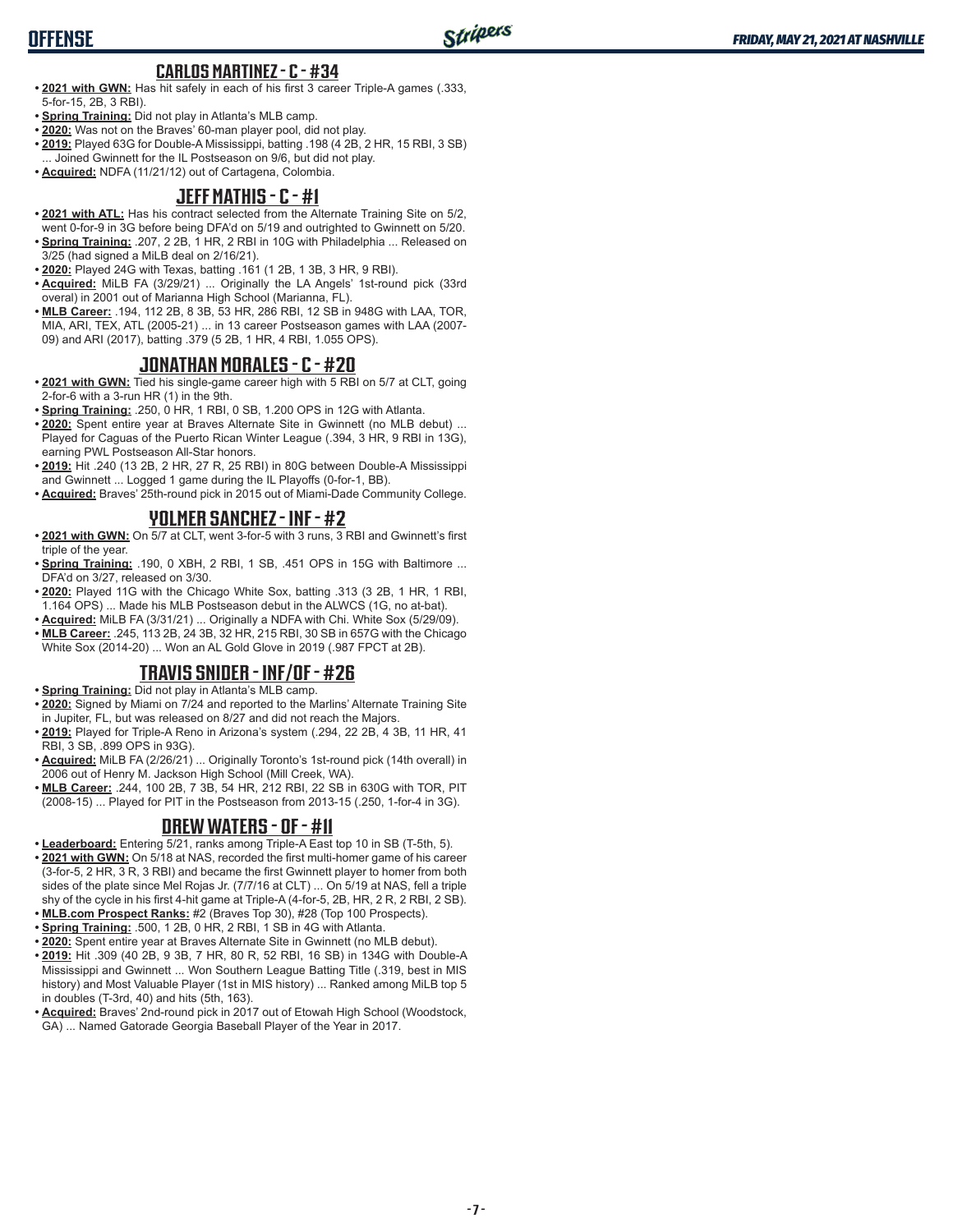#### **CARLOS MARTINEZ - C - #34**

- **• 2021 with GWN:** Has hit safely in each of his first 3 career Triple-A games (.333, 5-for-15, 2B, 3 RBI).
- **• Spring Training:** Did not play in Atlanta's MLB camp.
- **• 2020:** Was not on the Braves' 60-man player pool, did not play.
- **• 2019:** Played 63G for Double-A Mississippi, batting .198 (4 2B, 2 HR, 15 RBI, 3 SB) ... Joined Gwinnett for the IL Postseason on 9/6, but did not play.
- **• Acquired:** NDFA (11/21/12) out of Cartagena, Colombia.

### **JEFF MATHIS - C - #1**

- **• 2021 with ATL:** Has his contract selected from the Alternate Training Site on 5/2, went 0-for-9 in 3G before being DFA'd on 5/19 and outrighted to Gwinnett on 5/20.
- **• Spring Training:** .207, 2 2B, 1 HR, 2 RBI in 10G with Philadelphia ... Released on 3/25 (had signed a MiLB deal on 2/16/21).
- **• 2020:** Played 24G with Texas, batting .161 (1 2B, 1 3B, 3 HR, 9 RBI).
- **• Acquired:** MiLB FA (3/29/21) ... Originally the LA Angels' 1st-round pick (33rd overal) in 2001 out of Marianna High School (Marianna, FL).
- **• MLB Career:** .194, 112 2B, 8 3B, 53 HR, 286 RBI, 12 SB in 948G with LAA, TOR, MIA, ARI, TEX, ATL (2005-21) ... in 13 career Postseason games with LAA (2007- 09) and ARI (2017), batting .379 (5 2B, 1 HR, 4 RBI, 1.055 OPS).

#### **JONATHAN MORALES - C - #20**

- **• 2021 with GWN:** Tied his single-game career high with 5 RBI on 5/7 at CLT, going 2-for-6 with a 3-run HR (1) in the 9th.
- **• Spring Training:** .250, 0 HR, 1 RBI, 0 SB, 1.200 OPS in 12G with Atlanta.
- **• 2020:** Spent entire year at Braves Alternate Site in Gwinnett (no MLB debut) ... Played for Caguas of the Puerto Rican Winter League (.394, 3 HR, 9 RBI in 13G), earning PWL Postseason All-Star honors.
- **• 2019:** Hit .240 (13 2B, 2 HR, 27 R, 25 RBI) in 80G between Double-A Mississippi and Gwinnett ... Logged 1 game during the IL Playoffs (0-for-1, BB).
- **• Acquired:** Braves' 25th-round pick in 2015 out of Miami-Dade Community College.

#### **YOLMER SANCHEZ - INF - #2**

- **• 2021 with GWN:** On 5/7 at CLT, went 3-for-5 with 3 runs, 3 RBI and Gwinnett's first triple of the year.
- **• Spring Training:** .190, 0 XBH, 2 RBI, 1 SB, .451 OPS in 15G with Baltimore ... DFA'd on 3/27, released on 3/30.
- **• 2020:** Played 11G with the Chicago White Sox, batting .313 (3 2B, 1 HR, 1 RBI, 1.164 OPS) ... Made his MLB Postseason debut in the ALWCS (1G, no at-bat).
- **• Acquired:** MiLB FA (3/31/21) ... Originally a NDFA with Chi. White Sox (5/29/09).
- **• MLB Career:** .245, 113 2B, 24 3B, 32 HR, 215 RBI, 30 SB in 657G with the Chicago White Sox (2014-20) ... Won an AL Gold Glove in 2019 (.987 FPCT at 2B).

### **TRAVIS SNIDER - INF/OF - #26**

- **• Spring Training:** Did not play in Atlanta's MLB camp.
- **• 2020:** Signed by Miami on 7/24 and reported to the Marlins' Alternate Training Site in Jupiter, FL, but was released on 8/27 and did not reach the Majors.
- **• 2019:** Played for Triple-A Reno in Arizona's system (.294, 22 2B, 4 3B, 11 HR, 41 RBI, 3 SB, .899 OPS in 93G).
- **• Acquired:** MiLB FA (2/26/21) ... Originally Toronto's 1st-round pick (14th overall) in 2006 out of Henry M. Jackson High School (Mill Creek, WA).
- **• MLB Career:** .244, 100 2B, 7 3B, 54 HR, 212 RBI, 22 SB in 630G with TOR, PIT (2008-15) ... Played for PIT in the Postseason from 2013-15 (.250, 1-for-4 in 3G).

### **DREW WATERS - OF - #11**

- **• Leaderboard:** Entering 5/21, ranks among Triple-A East top 10 in SB (T-5th, 5).
- **• 2021 with GWN:** On 5/18 at NAS, recorded the first multi-homer game of his career (3-for-5, 2 HR, 3 R, 3 RBI) and became the first Gwinnett player to homer from both sides of the plate since Mel Rojas Jr. (7/7/16 at CLT) ... On 5/19 at NAS, fell a triple shy of the cycle in his first 4-hit game at Triple-A (4-for-5, 2B, HR, 2 R, 2 RBI, 2 SB).
- **• MLB.com Prospect Ranks:** #2 (Braves Top 30), #28 (Top 100 Prospects).
- **• Spring Training:** .500, 1 2B, 0 HR, 2 RBI, 1 SB in 4G with Atlanta.
- **• 2020:** Spent entire year at Braves Alternate Site in Gwinnett (no MLB debut).
- **• 2019:** Hit .309 (40 2B, 9 3B, 7 HR, 80 R, 52 RBI, 16 SB) in 134G with Double-A Mississippi and Gwinnett ... Won Southern League Batting Title (.319, best in MIS history) and Most Valuable Player (1st in MIS history) ... Ranked among MiLB top 5 in doubles (T-3rd, 40) and hits (5th, 163).
- **• Acquired:** Braves' 2nd-round pick in 2017 out of Etowah High School (Woodstock, GA) ... Named Gatorade Georgia Baseball Player of the Year in 2017.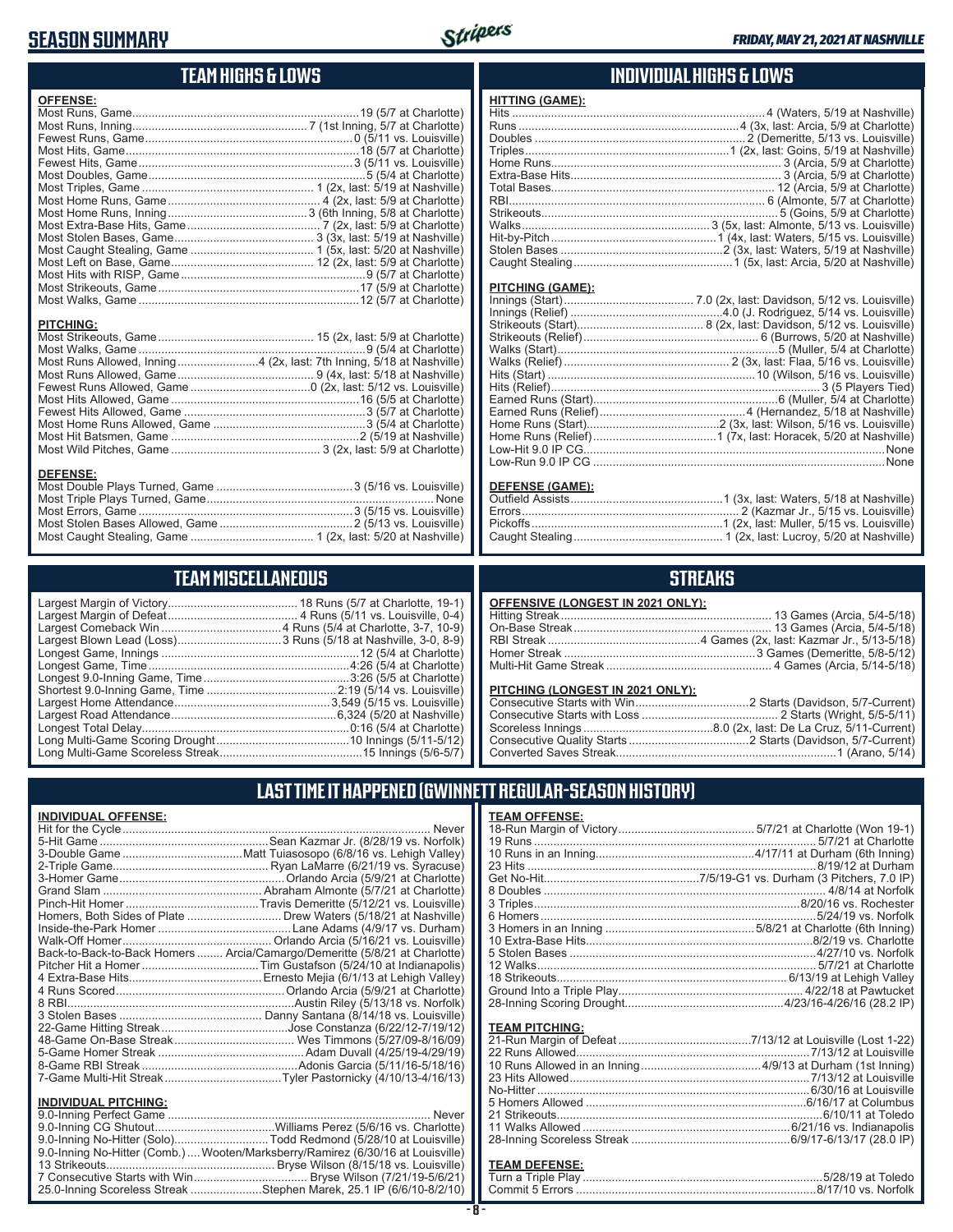## **SEASON SUMMARY**



## **TEAM HIGHS & LOWS**

| <b>OFFENSE:</b>                                                      |  |
|----------------------------------------------------------------------|--|
|                                                                      |  |
|                                                                      |  |
|                                                                      |  |
|                                                                      |  |
|                                                                      |  |
|                                                                      |  |
|                                                                      |  |
|                                                                      |  |
|                                                                      |  |
|                                                                      |  |
|                                                                      |  |
|                                                                      |  |
|                                                                      |  |
|                                                                      |  |
|                                                                      |  |
|                                                                      |  |
|                                                                      |  |
|                                                                      |  |
| <b>PITCHING:</b>                                                     |  |
|                                                                      |  |
|                                                                      |  |
|                                                                      |  |
| Most Runs Allowed, Inning4 (2x, last: 7th Inning, 5/18 at Nashville) |  |
|                                                                      |  |
|                                                                      |  |
|                                                                      |  |
|                                                                      |  |
|                                                                      |  |
|                                                                      |  |
|                                                                      |  |
| <b>DEFENSE:</b>                                                      |  |
|                                                                      |  |
|                                                                      |  |

#### **TEAM MISCELLANEOUS**

Most Stolen Bases Allowed, Game .........................................2 (5/13 vs. Louisville) Most Caught Stealing, Game ...................................... 1 (2x, last: 5/20 at Nashville)

#### **INDIVIDUAL HIGHS & LOWS**

| <b>HITTING (GAME):</b> |  |
|------------------------|--|
|                        |  |
|                        |  |
|                        |  |
|                        |  |
|                        |  |
|                        |  |
|                        |  |
|                        |  |
|                        |  |
|                        |  |
|                        |  |
|                        |  |
|                        |  |

#### **PITCHING (GAME):**

#### **DEFENSE (GAME):**

## **STREAKS**

| <b>OFFENSIVE (LONGEST IN 2021 ONLY):</b> |  |
|------------------------------------------|--|
|                                          |  |
|                                          |  |
|                                          |  |
|                                          |  |
|                                          |  |
|                                          |  |

#### **PITCHING (LONGEST IN 2021 ONLY):**

## **LAST TIME IT HAPPENED (GWINNETT REGULAR-SEASON HISTORY)**

| <b>INDIVIDUAL OFFENSE:</b>                                                      |
|---------------------------------------------------------------------------------|
| <b>Never</b>                                                                    |
|                                                                                 |
|                                                                                 |
|                                                                                 |
|                                                                                 |
|                                                                                 |
|                                                                                 |
| Homers, Both Sides of Plate  Drew Waters (5/18/21 at Nashville)                 |
|                                                                                 |
|                                                                                 |
| Back-to-Back-to-Back Homers  Arcia/Camargo/Demeritte (5/8/21 at Charlotte)      |
|                                                                                 |
|                                                                                 |
|                                                                                 |
|                                                                                 |
|                                                                                 |
|                                                                                 |
|                                                                                 |
|                                                                                 |
|                                                                                 |
| 7-Game Multi-Hit StreakTyler Pastornicky (4/10/13-4/16/13)                      |
| <b>INDIVIDUAL PITCHING:</b>                                                     |
| Never                                                                           |
|                                                                                 |
| 9.0-Inning No-Hitter (Solo)Todd Redmond (5/28/10 at Louisville)                 |
| 9.0-Inning No-Hitter (Comb.)  Wooten/Marksberry/Ramirez (6/30/16 at Louisville) |
|                                                                                 |
|                                                                                 |

25.0-Inning Scoreless Streak ......................Stephen Marek, 25.1 IP (6/6/10-8/2/10)

| <b>TEAM OFFENSE:</b>    |                                        |
|-------------------------|----------------------------------------|
|                         |                                        |
|                         |                                        |
|                         |                                        |
|                         |                                        |
|                         |                                        |
|                         |                                        |
|                         |                                        |
|                         |                                        |
|                         |                                        |
|                         |                                        |
|                         |                                        |
|                         |                                        |
|                         |                                        |
|                         |                                        |
|                         |                                        |
|                         |                                        |
| <b>TEAM PITCHING:</b>   |                                        |
| 21 Pun Morgin of Dofoot | $7/12/12$ of Louisville $(1$ ost 1.22) |

## **TEAM DEFENSE:**